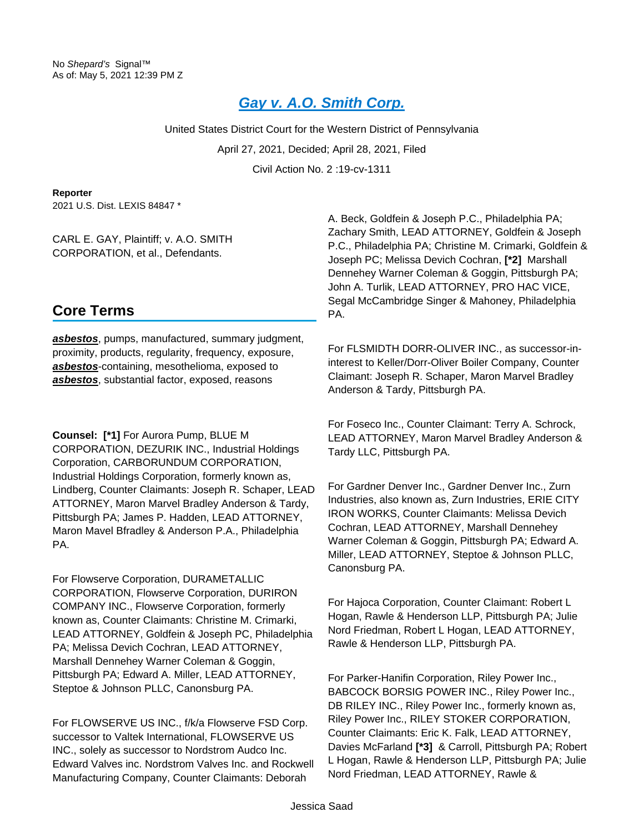# **[Gay v. A.O. Smith Corp.](https://advance.lexis.com/api/document?collection=cases&id=urn:contentItem:62KK-58G1-JBDT-B0BY-00000-00&context=1000516)**

United States District Court for the Western District of Pennsylvania April 27, 2021, Decided; April 28, 2021, Filed Civil Action No. 2 :19-cv-1311

**Reporter**

2021 U.S. Dist. LEXIS 84847 \*

CARL E. GAY, Plaintiff; v. A.O. SMITH CORPORATION, et al., Defendants.

# A. Beck, Goldfein & Joseph P.C., Philadelphia PA; Zachary Smith, LEAD ATTORNEY, Goldfein & Joseph P.C., Philadelphia PA; Christine M. Crimarki, Goldfein & Joseph PC; Melissa Devich Cochran, **[\*2]** Marshall Dennehey Warner Coleman & Goggin, Pittsburgh PA; John A. Turlik, LEAD ATTORNEY, PRO HAC VICE, Segal McCambridge Singer & Mahoney, Philadelphia PA.

# **Core Terms**

**asbestos**, pumps, manufactured, summary judgment, proximity, products, regularity, frequency, exposure, **asbestos**-containing, mesothelioma, exposed to **asbestos**, substantial factor, exposed, reasons

**Counsel: [\*1]** For Aurora Pump, BLUE M CORPORATION, DEZURIK INC., Industrial Holdings Corporation, CARBORUNDUM CORPORATION, Industrial Holdings Corporation, formerly known as, Lindberg, Counter Claimants: Joseph R. Schaper, LEAD ATTORNEY, Maron Marvel Bradley Anderson & Tardy, Pittsburgh PA; James P. Hadden, LEAD ATTORNEY, Maron Mavel Bfradley & Anderson P.A., Philadelphia PA.

For Flowserve Corporation, DURAMETALLIC CORPORATION, Flowserve Corporation, DURIRON COMPANY INC., Flowserve Corporation, formerly known as, Counter Claimants: Christine M. Crimarki, LEAD ATTORNEY, Goldfein & Joseph PC, Philadelphia PA; Melissa Devich Cochran, LEAD ATTORNEY, Marshall Dennehey Warner Coleman & Goggin, Pittsburgh PA; Edward A. Miller, LEAD ATTORNEY, Steptoe & Johnson PLLC, Canonsburg PA.

For FLOWSERVE US INC., f/k/a Flowserve FSD Corp. successor to Valtek International, FLOWSERVE US INC., solely as successor to Nordstrom Audco Inc. Edward Valves inc. Nordstrom Valves Inc. and Rockwell Manufacturing Company, Counter Claimants: Deborah

For FLSMIDTH DORR-OLIVER INC., as successor-ininterest to Keller/Dorr-Oliver Boiler Company, Counter Claimant: Joseph R. Schaper, Maron Marvel Bradley Anderson & Tardy, Pittsburgh PA.

For Foseco Inc., Counter Claimant: Terry A. Schrock, LEAD ATTORNEY, Maron Marvel Bradley Anderson & Tardy LLC, Pittsburgh PA.

For Gardner Denver Inc., Gardner Denver Inc., Zurn Industries, also known as, Zurn Industries, ERIE CITY IRON WORKS, Counter Claimants: Melissa Devich Cochran, LEAD ATTORNEY, Marshall Dennehey Warner Coleman & Goggin, Pittsburgh PA; Edward A. Miller, LEAD ATTORNEY, Steptoe & Johnson PLLC, Canonsburg PA.

For Hajoca Corporation, Counter Claimant: Robert L Hogan, Rawle & Henderson LLP, Pittsburgh PA; Julie Nord Friedman, Robert L Hogan, LEAD ATTORNEY, Rawle & Henderson LLP, Pittsburgh PA.

For Parker-Hanifin Corporation, Riley Power Inc., BABCOCK BORSIG POWER INC., Riley Power Inc., DB RILEY INC., Riley Power Inc., formerly known as, Riley Power Inc., RILEY STOKER CORPORATION, Counter Claimants: Eric K. Falk, LEAD ATTORNEY, Davies McFarland **[\*3]** & Carroll, Pittsburgh PA; Robert L Hogan, Rawle & Henderson LLP, Pittsburgh PA; Julie Nord Friedman, LEAD ATTORNEY, Rawle &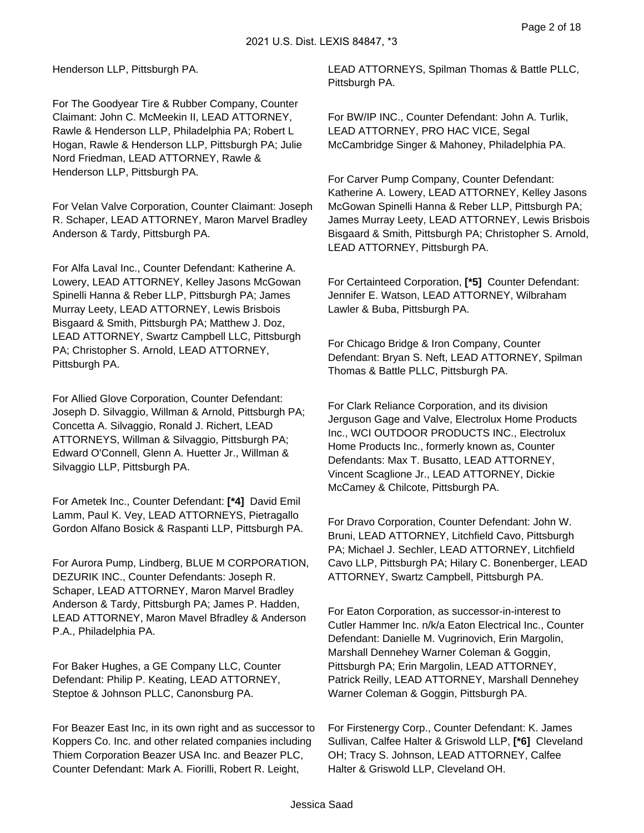Henderson LLP, Pittsburgh PA.

For The Goodyear Tire & Rubber Company, Counter Claimant: John C. McMeekin II, LEAD ATTORNEY, Rawle & Henderson LLP, Philadelphia PA; Robert L Hogan, Rawle & Henderson LLP, Pittsburgh PA; Julie Nord Friedman, LEAD ATTORNEY, Rawle & Henderson LLP, Pittsburgh PA.

For Velan Valve Corporation, Counter Claimant: Joseph R. Schaper, LEAD ATTORNEY, Maron Marvel Bradley Anderson & Tardy, Pittsburgh PA.

For Alfa Laval Inc., Counter Defendant: Katherine A. Lowery, LEAD ATTORNEY, Kelley Jasons McGowan Spinelli Hanna & Reber LLP, Pittsburgh PA; James Murray Leety, LEAD ATTORNEY, Lewis Brisbois Bisgaard & Smith, Pittsburgh PA; Matthew J. Doz, LEAD ATTORNEY, Swartz Campbell LLC, Pittsburgh PA; Christopher S. Arnold, LEAD ATTORNEY, Pittsburgh PA.

For Allied Glove Corporation, Counter Defendant: Joseph D. Silvaggio, Willman & Arnold, Pittsburgh PA; Concetta A. Silvaggio, Ronald J. Richert, LEAD ATTORNEYS, Willman & Silvaggio, Pittsburgh PA; Edward O'Connell, Glenn A. Huetter Jr., Willman & Silvaggio LLP, Pittsburgh PA.

For Ametek Inc., Counter Defendant: **[\*4]** David Emil Lamm, Paul K. Vey, LEAD ATTORNEYS, Pietragallo Gordon Alfano Bosick & Raspanti LLP, Pittsburgh PA.

For Aurora Pump, Lindberg, BLUE M CORPORATION, DEZURIK INC., Counter Defendants: Joseph R. Schaper, LEAD ATTORNEY, Maron Marvel Bradley Anderson & Tardy, Pittsburgh PA; James P. Hadden, LEAD ATTORNEY, Maron Mavel Bfradley & Anderson P.A., Philadelphia PA.

For Baker Hughes, a GE Company LLC, Counter Defendant: Philip P. Keating, LEAD ATTORNEY, Steptoe & Johnson PLLC, Canonsburg PA.

For Beazer East Inc, in its own right and as successor to Koppers Co. Inc. and other related companies including Thiem Corporation Beazer USA Inc. and Beazer PLC, Counter Defendant: Mark A. Fiorilli, Robert R. Leight,

LEAD ATTORNEYS, Spilman Thomas & Battle PLLC, Pittsburgh PA.

For BW/IP INC., Counter Defendant: John A. Turlik, LEAD ATTORNEY, PRO HAC VICE, Segal McCambridge Singer & Mahoney, Philadelphia PA.

For Carver Pump Company, Counter Defendant: Katherine A. Lowery, LEAD ATTORNEY, Kelley Jasons McGowan Spinelli Hanna & Reber LLP, Pittsburgh PA; James Murray Leety, LEAD ATTORNEY, Lewis Brisbois Bisgaard & Smith, Pittsburgh PA; Christopher S. Arnold, LEAD ATTORNEY, Pittsburgh PA.

For Certainteed Corporation, **[\*5]** Counter Defendant: Jennifer E. Watson, LEAD ATTORNEY, Wilbraham Lawler & Buba, Pittsburgh PA.

For Chicago Bridge & Iron Company, Counter Defendant: Bryan S. Neft, LEAD ATTORNEY, Spilman Thomas & Battle PLLC, Pittsburgh PA.

For Clark Reliance Corporation, and its division Jerguson Gage and Valve, Electrolux Home Products Inc., WCI OUTDOOR PRODUCTS INC., Electrolux Home Products Inc., formerly known as, Counter Defendants: Max T. Busatto, LEAD ATTORNEY, Vincent Scaglione Jr., LEAD ATTORNEY, Dickie McCamey & Chilcote, Pittsburgh PA.

For Dravo Corporation, Counter Defendant: John W. Bruni, LEAD ATTORNEY, Litchfield Cavo, Pittsburgh PA; Michael J. Sechler, LEAD ATTORNEY, Litchfield Cavo LLP, Pittsburgh PA; Hilary C. Bonenberger, LEAD ATTORNEY, Swartz Campbell, Pittsburgh PA.

For Eaton Corporation, as successor-in-interest to Cutler Hammer Inc. n/k/a Eaton Electrical Inc., Counter Defendant: Danielle M. Vugrinovich, Erin Margolin, Marshall Dennehey Warner Coleman & Goggin, Pittsburgh PA; Erin Margolin, LEAD ATTORNEY, Patrick Reilly, LEAD ATTORNEY, Marshall Dennehey Warner Coleman & Goggin, Pittsburgh PA.

For Firstenergy Corp., Counter Defendant: K. James Sullivan, Calfee Halter & Griswold LLP, **[\*6]** Cleveland OH; Tracy S. Johnson, LEAD ATTORNEY, Calfee Halter & Griswold LLP, Cleveland OH.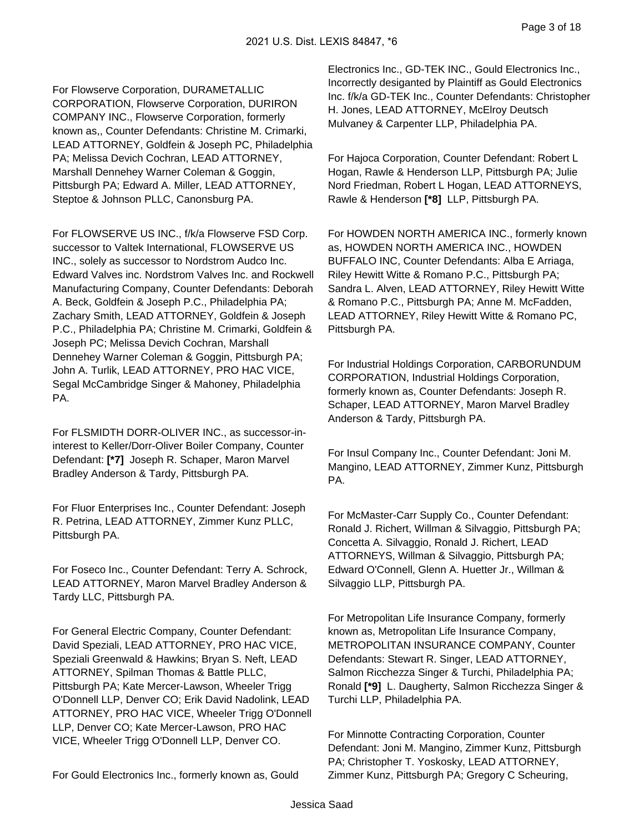For Flowserve Corporation, DURAMETALLIC CORPORATION, Flowserve Corporation, DURIRON COMPANY INC., Flowserve Corporation, formerly known as,, Counter Defendants: Christine M. Crimarki, LEAD ATTORNEY, Goldfein & Joseph PC, Philadelphia PA; Melissa Devich Cochran, LEAD ATTORNEY, Marshall Dennehey Warner Coleman & Goggin, Pittsburgh PA; Edward A. Miller, LEAD ATTORNEY, Steptoe & Johnson PLLC, Canonsburg PA.

For FLOWSERVE US INC., f/k/a Flowserve FSD Corp. successor to Valtek International, FLOWSERVE US INC., solely as successor to Nordstrom Audco Inc. Edward Valves inc. Nordstrom Valves Inc. and Rockwell Manufacturing Company, Counter Defendants: Deborah A. Beck, Goldfein & Joseph P.C., Philadelphia PA; Zachary Smith, LEAD ATTORNEY, Goldfein & Joseph P.C., Philadelphia PA; Christine M. Crimarki, Goldfein & Joseph PC; Melissa Devich Cochran, Marshall Dennehey Warner Coleman & Goggin, Pittsburgh PA; John A. Turlik, LEAD ATTORNEY, PRO HAC VICE, Segal McCambridge Singer & Mahoney, Philadelphia PA.

For FLSMIDTH DORR-OLIVER INC., as successor-ininterest to Keller/Dorr-Oliver Boiler Company, Counter Defendant: **[\*7]** Joseph R. Schaper, Maron Marvel Bradley Anderson & Tardy, Pittsburgh PA.

For Fluor Enterprises Inc., Counter Defendant: Joseph R. Petrina, LEAD ATTORNEY, Zimmer Kunz PLLC, Pittsburgh PA.

For Foseco Inc., Counter Defendant: Terry A. Schrock, LEAD ATTORNEY, Maron Marvel Bradley Anderson & Tardy LLC, Pittsburgh PA.

For General Electric Company, Counter Defendant: David Speziali, LEAD ATTORNEY, PRO HAC VICE, Speziali Greenwald & Hawkins; Bryan S. Neft, LEAD ATTORNEY, Spilman Thomas & Battle PLLC, Pittsburgh PA; Kate Mercer-Lawson, Wheeler Trigg O'Donnell LLP, Denver CO; Erik David Nadolink, LEAD ATTORNEY, PRO HAC VICE, Wheeler Trigg O'Donnell LLP, Denver CO; Kate Mercer-Lawson, PRO HAC VICE, Wheeler Trigg O'Donnell LLP, Denver CO.

For Gould Electronics Inc., formerly known as, Gould

Electronics Inc., GD-TEK INC., Gould Electronics Inc., Incorrectly desiganted by Plaintiff as Gould Electronics Inc. f/k/a GD-TEK Inc., Counter Defendants: Christopher H. Jones, LEAD ATTORNEY, McElroy Deutsch Mulvaney & Carpenter LLP, Philadelphia PA.

For Hajoca Corporation, Counter Defendant: Robert L Hogan, Rawle & Henderson LLP, Pittsburgh PA; Julie Nord Friedman, Robert L Hogan, LEAD ATTORNEYS, Rawle & Henderson **[\*8]** LLP, Pittsburgh PA.

For HOWDEN NORTH AMERICA INC., formerly known as, HOWDEN NORTH AMERICA INC., HOWDEN BUFFALO INC, Counter Defendants: Alba E Arriaga, Riley Hewitt Witte & Romano P.C., Pittsburgh PA; Sandra L. Alven, LEAD ATTORNEY, Riley Hewitt Witte & Romano P.C., Pittsburgh PA; Anne M. McFadden, LEAD ATTORNEY, Riley Hewitt Witte & Romano PC, Pittsburgh PA.

For Industrial Holdings Corporation, CARBORUNDUM CORPORATION, Industrial Holdings Corporation, formerly known as, Counter Defendants: Joseph R. Schaper, LEAD ATTORNEY, Maron Marvel Bradley Anderson & Tardy, Pittsburgh PA.

For Insul Company Inc., Counter Defendant: Joni M. Mangino, LEAD ATTORNEY, Zimmer Kunz, Pittsburgh PA.

For McMaster-Carr Supply Co., Counter Defendant: Ronald J. Richert, Willman & Silvaggio, Pittsburgh PA; Concetta A. Silvaggio, Ronald J. Richert, LEAD ATTORNEYS, Willman & Silvaggio, Pittsburgh PA; Edward O'Connell, Glenn A. Huetter Jr., Willman & Silvaggio LLP, Pittsburgh PA.

For Metropolitan Life Insurance Company, formerly known as, Metropolitan Life Insurance Company, METROPOLITAN INSURANCE COMPANY, Counter Defendants: Stewart R. Singer, LEAD ATTORNEY, Salmon Ricchezza Singer & Turchi, Philadelphia PA; Ronald **[\*9]** L. Daugherty, Salmon Ricchezza Singer & Turchi LLP, Philadelphia PA.

For Minnotte Contracting Corporation, Counter Defendant: Joni M. Mangino, Zimmer Kunz, Pittsburgh PA; Christopher T. Yoskosky, LEAD ATTORNEY, Zimmer Kunz, Pittsburgh PA; Gregory C Scheuring,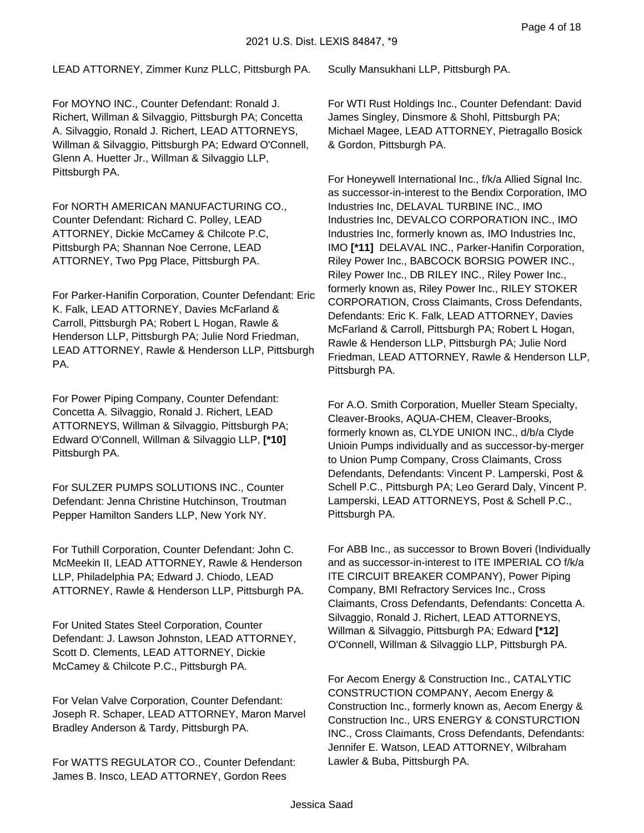LEAD ATTORNEY, Zimmer Kunz PLLC, Pittsburgh PA.

For MOYNO INC., Counter Defendant: Ronald J. Richert, Willman & Silvaggio, Pittsburgh PA; Concetta A. Silvaggio, Ronald J. Richert, LEAD ATTORNEYS, Willman & Silvaggio, Pittsburgh PA; Edward O'Connell, Glenn A. Huetter Jr., Willman & Silvaggio LLP, Pittsburgh PA.

For NORTH AMERICAN MANUFACTURING CO., Counter Defendant: Richard C. Polley, LEAD ATTORNEY, Dickie McCamey & Chilcote P.C, Pittsburgh PA; Shannan Noe Cerrone, LEAD ATTORNEY, Two Ppg Place, Pittsburgh PA.

For Parker-Hanifin Corporation, Counter Defendant: Eric K. Falk, LEAD ATTORNEY, Davies McFarland & Carroll, Pittsburgh PA; Robert L Hogan, Rawle & Henderson LLP, Pittsburgh PA; Julie Nord Friedman, LEAD ATTORNEY, Rawle & Henderson LLP, Pittsburgh PA.

For Power Piping Company, Counter Defendant: Concetta A. Silvaggio, Ronald J. Richert, LEAD ATTORNEYS, Willman & Silvaggio, Pittsburgh PA; Edward O'Connell, Willman & Silvaggio LLP, **[\*10]**  Pittsburgh PA.

For SULZER PUMPS SOLUTIONS INC., Counter Defendant: Jenna Christine Hutchinson, Troutman Pepper Hamilton Sanders LLP, New York NY.

For Tuthill Corporation, Counter Defendant: John C. McMeekin II, LEAD ATTORNEY, Rawle & Henderson LLP, Philadelphia PA; Edward J. Chiodo, LEAD ATTORNEY, Rawle & Henderson LLP, Pittsburgh PA.

For United States Steel Corporation, Counter Defendant: J. Lawson Johnston, LEAD ATTORNEY, Scott D. Clements, LEAD ATTORNEY, Dickie McCamey & Chilcote P.C., Pittsburgh PA.

For Velan Valve Corporation, Counter Defendant: Joseph R. Schaper, LEAD ATTORNEY, Maron Marvel Bradley Anderson & Tardy, Pittsburgh PA.

For WATTS REGULATOR CO., Counter Defendant: James B. Insco, LEAD ATTORNEY, Gordon Rees

Scully Mansukhani LLP, Pittsburgh PA.

For WTI Rust Holdings Inc., Counter Defendant: David James Singley, Dinsmore & Shohl, Pittsburgh PA; Michael Magee, LEAD ATTORNEY, Pietragallo Bosick & Gordon, Pittsburgh PA.

For Honeywell International Inc., f/k/a Allied Signal Inc. as successor-in-interest to the Bendix Corporation, IMO Industries Inc, DELAVAL TURBINE INC., IMO Industries Inc, DEVALCO CORPORATION INC., IMO Industries Inc, formerly known as, IMO Industries Inc, IMO **[\*11]** DELAVAL INC., Parker-Hanifin Corporation, Riley Power Inc., BABCOCK BORSIG POWER INC., Riley Power Inc., DB RILEY INC., Riley Power Inc., formerly known as, Riley Power Inc., RILEY STOKER CORPORATION, Cross Claimants, Cross Defendants, Defendants: Eric K. Falk, LEAD ATTORNEY, Davies McFarland & Carroll, Pittsburgh PA; Robert L Hogan, Rawle & Henderson LLP, Pittsburgh PA; Julie Nord Friedman, LEAD ATTORNEY, Rawle & Henderson LLP, Pittsburgh PA.

For A.O. Smith Corporation, Mueller Steam Specialty, Cleaver-Brooks, AQUA-CHEM, Cleaver-Brooks, formerly known as, CLYDE UNION INC., d/b/a Clyde Unioin Pumps individually and as successor-by-merger to Union Pump Company, Cross Claimants, Cross Defendants, Defendants: Vincent P. Lamperski, Post & Schell P.C., Pittsburgh PA; Leo Gerard Daly, Vincent P. Lamperski, LEAD ATTORNEYS, Post & Schell P.C., Pittsburgh PA.

For ABB Inc., as successor to Brown Boveri (Individually and as successor-in-interest to ITE IMPERIAL CO f/k/a ITE CIRCUIT BREAKER COMPANY), Power Piping Company, BMI Refractory Services Inc., Cross Claimants, Cross Defendants, Defendants: Concetta A. Silvaggio, Ronald J. Richert, LEAD ATTORNEYS, Willman & Silvaggio, Pittsburgh PA; Edward **[\*12]**  O'Connell, Willman & Silvaggio LLP, Pittsburgh PA.

For Aecom Energy & Construction Inc., CATALYTIC CONSTRUCTION COMPANY, Aecom Energy & Construction Inc., formerly known as, Aecom Energy & Construction Inc., URS ENERGY & CONSTURCTION INC., Cross Claimants, Cross Defendants, Defendants: Jennifer E. Watson, LEAD ATTORNEY, Wilbraham Lawler & Buba, Pittsburgh PA.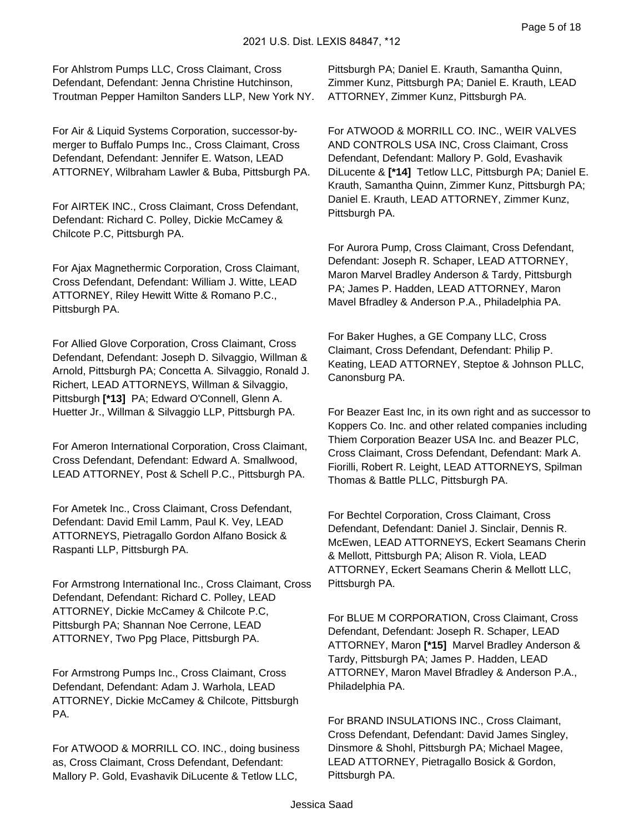For Ahlstrom Pumps LLC, Cross Claimant, Cross Defendant, Defendant: Jenna Christine Hutchinson, Troutman Pepper Hamilton Sanders LLP, New York NY.

For Air & Liquid Systems Corporation, successor-bymerger to Buffalo Pumps Inc., Cross Claimant, Cross Defendant, Defendant: Jennifer E. Watson, LEAD ATTORNEY, Wilbraham Lawler & Buba, Pittsburgh PA.

For AIRTEK INC., Cross Claimant, Cross Defendant, Defendant: Richard C. Polley, Dickie McCamey & Chilcote P.C, Pittsburgh PA.

For Ajax Magnethermic Corporation, Cross Claimant, Cross Defendant, Defendant: William J. Witte, LEAD ATTORNEY, Riley Hewitt Witte & Romano P.C., Pittsburgh PA.

For Allied Glove Corporation, Cross Claimant, Cross Defendant, Defendant: Joseph D. Silvaggio, Willman & Arnold, Pittsburgh PA; Concetta A. Silvaggio, Ronald J. Richert, LEAD ATTORNEYS, Willman & Silvaggio, Pittsburgh **[\*13]** PA; Edward O'Connell, Glenn A. Huetter Jr., Willman & Silvaggio LLP, Pittsburgh PA.

For Ameron International Corporation, Cross Claimant, Cross Defendant, Defendant: Edward A. Smallwood, LEAD ATTORNEY, Post & Schell P.C., Pittsburgh PA.

For Ametek Inc., Cross Claimant, Cross Defendant, Defendant: David Emil Lamm, Paul K. Vey, LEAD ATTORNEYS, Pietragallo Gordon Alfano Bosick & Raspanti LLP, Pittsburgh PA.

For Armstrong International Inc., Cross Claimant, Cross Defendant, Defendant: Richard C. Polley, LEAD ATTORNEY, Dickie McCamey & Chilcote P.C, Pittsburgh PA; Shannan Noe Cerrone, LEAD ATTORNEY, Two Ppg Place, Pittsburgh PA.

For Armstrong Pumps Inc., Cross Claimant, Cross Defendant, Defendant: Adam J. Warhola, LEAD ATTORNEY, Dickie McCamey & Chilcote, Pittsburgh PA.

For ATWOOD & MORRILL CO. INC., doing business as, Cross Claimant, Cross Defendant, Defendant: Mallory P. Gold, Evashavik DiLucente & Tetlow LLC,

Pittsburgh PA; Daniel E. Krauth, Samantha Quinn, Zimmer Kunz, Pittsburgh PA; Daniel E. Krauth, LEAD ATTORNEY, Zimmer Kunz, Pittsburgh PA.

For ATWOOD & MORRILL CO. INC., WEIR VALVES AND CONTROLS USA INC, Cross Claimant, Cross Defendant, Defendant: Mallory P. Gold, Evashavik DiLucente & **[\*14]** Tetlow LLC, Pittsburgh PA; Daniel E. Krauth, Samantha Quinn, Zimmer Kunz, Pittsburgh PA; Daniel E. Krauth, LEAD ATTORNEY, Zimmer Kunz, Pittsburgh PA.

For Aurora Pump, Cross Claimant, Cross Defendant, Defendant: Joseph R. Schaper, LEAD ATTORNEY, Maron Marvel Bradley Anderson & Tardy, Pittsburgh PA; James P. Hadden, LEAD ATTORNEY, Maron Mavel Bfradley & Anderson P.A., Philadelphia PA.

For Baker Hughes, a GE Company LLC, Cross Claimant, Cross Defendant, Defendant: Philip P. Keating, LEAD ATTORNEY, Steptoe & Johnson PLLC, Canonsburg PA.

For Beazer East Inc, in its own right and as successor to Koppers Co. Inc. and other related companies including Thiem Corporation Beazer USA Inc. and Beazer PLC, Cross Claimant, Cross Defendant, Defendant: Mark A. Fiorilli, Robert R. Leight, LEAD ATTORNEYS, Spilman Thomas & Battle PLLC, Pittsburgh PA.

For Bechtel Corporation, Cross Claimant, Cross Defendant, Defendant: Daniel J. Sinclair, Dennis R. McEwen, LEAD ATTORNEYS, Eckert Seamans Cherin & Mellott, Pittsburgh PA; Alison R. Viola, LEAD ATTORNEY, Eckert Seamans Cherin & Mellott LLC, Pittsburgh PA.

For BLUE M CORPORATION, Cross Claimant, Cross Defendant, Defendant: Joseph R. Schaper, LEAD ATTORNEY, Maron **[\*15]** Marvel Bradley Anderson & Tardy, Pittsburgh PA; James P. Hadden, LEAD ATTORNEY, Maron Mavel Bfradley & Anderson P.A., Philadelphia PA.

For BRAND INSULATIONS INC., Cross Claimant, Cross Defendant, Defendant: David James Singley, Dinsmore & Shohl, Pittsburgh PA; Michael Magee, LEAD ATTORNEY, Pietragallo Bosick & Gordon, Pittsburgh PA.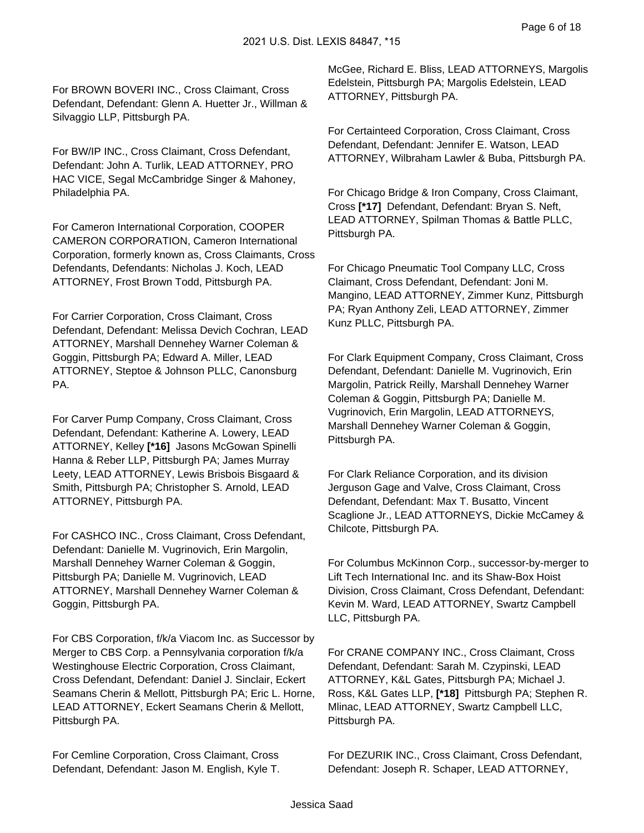For BROWN BOVERI INC., Cross Claimant, Cross Defendant, Defendant: Glenn A. Huetter Jr., Willman & Silvaggio LLP, Pittsburgh PA.

For BW/IP INC., Cross Claimant, Cross Defendant, Defendant: John A. Turlik, LEAD ATTORNEY, PRO HAC VICE, Segal McCambridge Singer & Mahoney, Philadelphia PA.

For Cameron International Corporation, COOPER CAMERON CORPORATION, Cameron International Corporation, formerly known as, Cross Claimants, Cross Defendants, Defendants: Nicholas J. Koch, LEAD ATTORNEY, Frost Brown Todd, Pittsburgh PA.

For Carrier Corporation, Cross Claimant, Cross Defendant, Defendant: Melissa Devich Cochran, LEAD ATTORNEY, Marshall Dennehey Warner Coleman & Goggin, Pittsburgh PA; Edward A. Miller, LEAD ATTORNEY, Steptoe & Johnson PLLC, Canonsburg PA.

For Carver Pump Company, Cross Claimant, Cross Defendant, Defendant: Katherine A. Lowery, LEAD ATTORNEY, Kelley **[\*16]** Jasons McGowan Spinelli Hanna & Reber LLP, Pittsburgh PA; James Murray Leety, LEAD ATTORNEY, Lewis Brisbois Bisgaard & Smith, Pittsburgh PA; Christopher S. Arnold, LEAD ATTORNEY, Pittsburgh PA.

For CASHCO INC., Cross Claimant, Cross Defendant, Defendant: Danielle M. Vugrinovich, Erin Margolin, Marshall Dennehey Warner Coleman & Goggin, Pittsburgh PA; Danielle M. Vugrinovich, LEAD ATTORNEY, Marshall Dennehey Warner Coleman & Goggin, Pittsburgh PA.

For CBS Corporation, f/k/a Viacom Inc. as Successor by Merger to CBS Corp. a Pennsylvania corporation f/k/a Westinghouse Electric Corporation, Cross Claimant, Cross Defendant, Defendant: Daniel J. Sinclair, Eckert Seamans Cherin & Mellott, Pittsburgh PA; Eric L. Horne, LEAD ATTORNEY, Eckert Seamans Cherin & Mellott, Pittsburgh PA.

For Cemline Corporation, Cross Claimant, Cross Defendant, Defendant: Jason M. English, Kyle T. McGee, Richard E. Bliss, LEAD ATTORNEYS, Margolis Edelstein, Pittsburgh PA; Margolis Edelstein, LEAD ATTORNEY, Pittsburgh PA.

For Certainteed Corporation, Cross Claimant, Cross Defendant, Defendant: Jennifer E. Watson, LEAD ATTORNEY, Wilbraham Lawler & Buba, Pittsburgh PA.

For Chicago Bridge & Iron Company, Cross Claimant, Cross **[\*17]** Defendant, Defendant: Bryan S. Neft, LEAD ATTORNEY, Spilman Thomas & Battle PLLC, Pittsburgh PA.

For Chicago Pneumatic Tool Company LLC, Cross Claimant, Cross Defendant, Defendant: Joni M. Mangino, LEAD ATTORNEY, Zimmer Kunz, Pittsburgh PA; Ryan Anthony Zeli, LEAD ATTORNEY, Zimmer Kunz PLLC, Pittsburgh PA.

For Clark Equipment Company, Cross Claimant, Cross Defendant, Defendant: Danielle M. Vugrinovich, Erin Margolin, Patrick Reilly, Marshall Dennehey Warner Coleman & Goggin, Pittsburgh PA; Danielle M. Vugrinovich, Erin Margolin, LEAD ATTORNEYS, Marshall Dennehey Warner Coleman & Goggin, Pittsburgh PA.

For Clark Reliance Corporation, and its division Jerguson Gage and Valve, Cross Claimant, Cross Defendant, Defendant: Max T. Busatto, Vincent Scaglione Jr., LEAD ATTORNEYS, Dickie McCamey & Chilcote, Pittsburgh PA.

For Columbus McKinnon Corp., successor-by-merger to Lift Tech International Inc. and its Shaw-Box Hoist Division, Cross Claimant, Cross Defendant, Defendant: Kevin M. Ward, LEAD ATTORNEY, Swartz Campbell LLC, Pittsburgh PA.

For CRANE COMPANY INC., Cross Claimant, Cross Defendant, Defendant: Sarah M. Czypinski, LEAD ATTORNEY, K&L Gates, Pittsburgh PA; Michael J. Ross, K&L Gates LLP, **[\*18]** Pittsburgh PA; Stephen R. Mlinac, LEAD ATTORNEY, Swartz Campbell LLC, Pittsburgh PA.

For DEZURIK INC., Cross Claimant, Cross Defendant, Defendant: Joseph R. Schaper, LEAD ATTORNEY,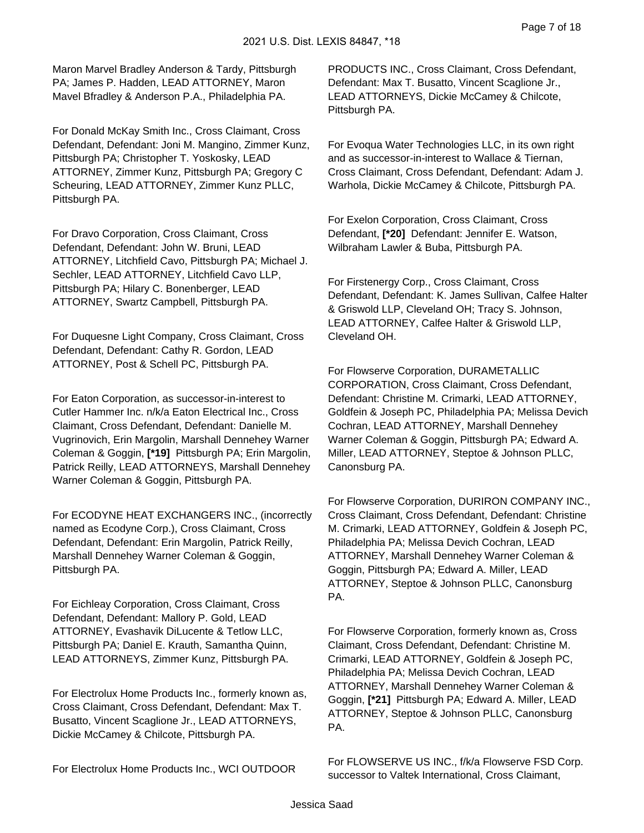Maron Marvel Bradley Anderson & Tardy, Pittsburgh PA; James P. Hadden, LEAD ATTORNEY, Maron Mavel Bfradley & Anderson P.A., Philadelphia PA.

For Donald McKay Smith Inc., Cross Claimant, Cross Defendant, Defendant: Joni M. Mangino, Zimmer Kunz, Pittsburgh PA; Christopher T. Yoskosky, LEAD ATTORNEY, Zimmer Kunz, Pittsburgh PA; Gregory C Scheuring, LEAD ATTORNEY, Zimmer Kunz PLLC, Pittsburgh PA.

For Dravo Corporation, Cross Claimant, Cross Defendant, Defendant: John W. Bruni, LEAD ATTORNEY, Litchfield Cavo, Pittsburgh PA; Michael J. Sechler, LEAD ATTORNEY, Litchfield Cavo LLP, Pittsburgh PA; Hilary C. Bonenberger, LEAD ATTORNEY, Swartz Campbell, Pittsburgh PA.

For Duquesne Light Company, Cross Claimant, Cross Defendant, Defendant: Cathy R. Gordon, LEAD ATTORNEY, Post & Schell PC, Pittsburgh PA.

For Eaton Corporation, as successor-in-interest to Cutler Hammer Inc. n/k/a Eaton Electrical Inc., Cross Claimant, Cross Defendant, Defendant: Danielle M. Vugrinovich, Erin Margolin, Marshall Dennehey Warner Coleman & Goggin, **[\*19]** Pittsburgh PA; Erin Margolin, Patrick Reilly, LEAD ATTORNEYS, Marshall Dennehey Warner Coleman & Goggin, Pittsburgh PA.

For ECODYNE HEAT EXCHANGERS INC., (incorrectly named as Ecodyne Corp.), Cross Claimant, Cross Defendant, Defendant: Erin Margolin, Patrick Reilly, Marshall Dennehey Warner Coleman & Goggin, Pittsburgh PA.

For Eichleay Corporation, Cross Claimant, Cross Defendant, Defendant: Mallory P. Gold, LEAD ATTORNEY, Evashavik DiLucente & Tetlow LLC, Pittsburgh PA; Daniel E. Krauth, Samantha Quinn, LEAD ATTORNEYS, Zimmer Kunz, Pittsburgh PA.

For Electrolux Home Products Inc., formerly known as, Cross Claimant, Cross Defendant, Defendant: Max T. Busatto, Vincent Scaglione Jr., LEAD ATTORNEYS, Dickie McCamey & Chilcote, Pittsburgh PA.

For Electrolux Home Products Inc., WCI OUTDOOR

PRODUCTS INC., Cross Claimant, Cross Defendant, Defendant: Max T. Busatto, Vincent Scaglione Jr., LEAD ATTORNEYS, Dickie McCamey & Chilcote, Pittsburgh PA.

For Evoqua Water Technologies LLC, in its own right and as successor-in-interest to Wallace & Tiernan, Cross Claimant, Cross Defendant, Defendant: Adam J. Warhola, Dickie McCamey & Chilcote, Pittsburgh PA.

For Exelon Corporation, Cross Claimant, Cross Defendant, **[\*20]** Defendant: Jennifer E. Watson, Wilbraham Lawler & Buba, Pittsburgh PA.

For Firstenergy Corp., Cross Claimant, Cross Defendant, Defendant: K. James Sullivan, Calfee Halter & Griswold LLP, Cleveland OH; Tracy S. Johnson, LEAD ATTORNEY, Calfee Halter & Griswold LLP, Cleveland OH.

For Flowserve Corporation, DURAMETALLIC CORPORATION, Cross Claimant, Cross Defendant, Defendant: Christine M. Crimarki, LEAD ATTORNEY, Goldfein & Joseph PC, Philadelphia PA; Melissa Devich Cochran, LEAD ATTORNEY, Marshall Dennehey Warner Coleman & Goggin, Pittsburgh PA; Edward A. Miller, LEAD ATTORNEY, Steptoe & Johnson PLLC, Canonsburg PA.

For Flowserve Corporation, DURIRON COMPANY INC., Cross Claimant, Cross Defendant, Defendant: Christine M. Crimarki, LEAD ATTORNEY, Goldfein & Joseph PC, Philadelphia PA; Melissa Devich Cochran, LEAD ATTORNEY, Marshall Dennehey Warner Coleman & Goggin, Pittsburgh PA; Edward A. Miller, LEAD ATTORNEY, Steptoe & Johnson PLLC, Canonsburg PA.

For Flowserve Corporation, formerly known as, Cross Claimant, Cross Defendant, Defendant: Christine M. Crimarki, LEAD ATTORNEY, Goldfein & Joseph PC, Philadelphia PA; Melissa Devich Cochran, LEAD ATTORNEY, Marshall Dennehey Warner Coleman & Goggin, **[\*21]** Pittsburgh PA; Edward A. Miller, LEAD ATTORNEY, Steptoe & Johnson PLLC, Canonsburg PA.

For FLOWSERVE US INC., f/k/a Flowserve FSD Corp. successor to Valtek International, Cross Claimant,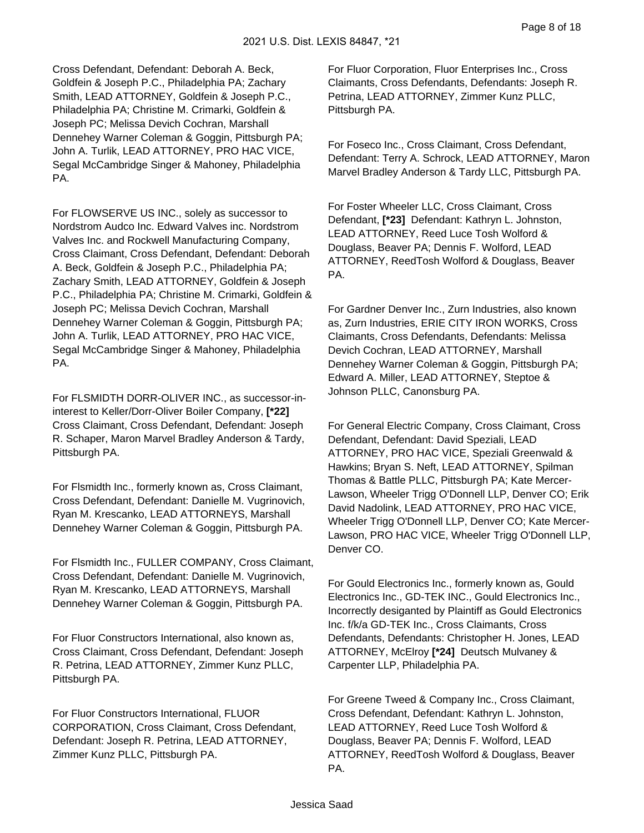Cross Defendant, Defendant: Deborah A. Beck, Goldfein & Joseph P.C., Philadelphia PA; Zachary Smith, LEAD ATTORNEY, Goldfein & Joseph P.C., Philadelphia PA; Christine M. Crimarki, Goldfein & Joseph PC; Melissa Devich Cochran, Marshall Dennehey Warner Coleman & Goggin, Pittsburgh PA; John A. Turlik, LEAD ATTORNEY, PRO HAC VICE, Segal McCambridge Singer & Mahoney, Philadelphia PA.

For FLOWSERVE US INC., solely as successor to Nordstrom Audco Inc. Edward Valves inc. Nordstrom Valves Inc. and Rockwell Manufacturing Company, Cross Claimant, Cross Defendant, Defendant: Deborah A. Beck, Goldfein & Joseph P.C., Philadelphia PA; Zachary Smith, LEAD ATTORNEY, Goldfein & Joseph P.C., Philadelphia PA; Christine M. Crimarki, Goldfein & Joseph PC; Melissa Devich Cochran, Marshall Dennehey Warner Coleman & Goggin, Pittsburgh PA; John A. Turlik, LEAD ATTORNEY, PRO HAC VICE, Segal McCambridge Singer & Mahoney, Philadelphia PA.

For FLSMIDTH DORR-OLIVER INC., as successor-ininterest to Keller/Dorr-Oliver Boiler Company, **[\*22]**  Cross Claimant, Cross Defendant, Defendant: Joseph R. Schaper, Maron Marvel Bradley Anderson & Tardy, Pittsburgh PA.

For Flsmidth Inc., formerly known as, Cross Claimant, Cross Defendant, Defendant: Danielle M. Vugrinovich, Ryan M. Krescanko, LEAD ATTORNEYS, Marshall Dennehey Warner Coleman & Goggin, Pittsburgh PA.

For Flsmidth Inc., FULLER COMPANY, Cross Claimant, Cross Defendant, Defendant: Danielle M. Vugrinovich, Ryan M. Krescanko, LEAD ATTORNEYS, Marshall Dennehey Warner Coleman & Goggin, Pittsburgh PA.

For Fluor Constructors International, also known as, Cross Claimant, Cross Defendant, Defendant: Joseph R. Petrina, LEAD ATTORNEY, Zimmer Kunz PLLC, Pittsburgh PA.

For Fluor Constructors International, FLUOR CORPORATION, Cross Claimant, Cross Defendant, Defendant: Joseph R. Petrina, LEAD ATTORNEY, Zimmer Kunz PLLC, Pittsburgh PA.

For Fluor Corporation, Fluor Enterprises Inc., Cross Claimants, Cross Defendants, Defendants: Joseph R. Petrina, LEAD ATTORNEY, Zimmer Kunz PLLC, Pittsburgh PA.

For Foseco Inc., Cross Claimant, Cross Defendant, Defendant: Terry A. Schrock, LEAD ATTORNEY, Maron Marvel Bradley Anderson & Tardy LLC, Pittsburgh PA.

For Foster Wheeler LLC, Cross Claimant, Cross Defendant, **[\*23]** Defendant: Kathryn L. Johnston, LEAD ATTORNEY, Reed Luce Tosh Wolford & Douglass, Beaver PA; Dennis F. Wolford, LEAD ATTORNEY, ReedTosh Wolford & Douglass, Beaver PA.

For Gardner Denver Inc., Zurn Industries, also known as, Zurn Industries, ERIE CITY IRON WORKS, Cross Claimants, Cross Defendants, Defendants: Melissa Devich Cochran, LEAD ATTORNEY, Marshall Dennehey Warner Coleman & Goggin, Pittsburgh PA; Edward A. Miller, LEAD ATTORNEY, Steptoe & Johnson PLLC, Canonsburg PA.

For General Electric Company, Cross Claimant, Cross Defendant, Defendant: David Speziali, LEAD ATTORNEY, PRO HAC VICE, Speziali Greenwald & Hawkins; Bryan S. Neft, LEAD ATTORNEY, Spilman Thomas & Battle PLLC, Pittsburgh PA; Kate Mercer-Lawson, Wheeler Trigg O'Donnell LLP, Denver CO; Erik David Nadolink, LEAD ATTORNEY, PRO HAC VICE, Wheeler Trigg O'Donnell LLP, Denver CO; Kate Mercer-Lawson, PRO HAC VICE, Wheeler Trigg O'Donnell LLP, Denver CO.

For Gould Electronics Inc., formerly known as, Gould Electronics Inc., GD-TEK INC., Gould Electronics Inc., Incorrectly desiganted by Plaintiff as Gould Electronics Inc. f/k/a GD-TEK Inc., Cross Claimants, Cross Defendants, Defendants: Christopher H. Jones, LEAD ATTORNEY, McElroy **[\*24]** Deutsch Mulvaney & Carpenter LLP, Philadelphia PA.

For Greene Tweed & Company Inc., Cross Claimant, Cross Defendant, Defendant: Kathryn L. Johnston, LEAD ATTORNEY, Reed Luce Tosh Wolford & Douglass, Beaver PA; Dennis F. Wolford, LEAD ATTORNEY, ReedTosh Wolford & Douglass, Beaver PA.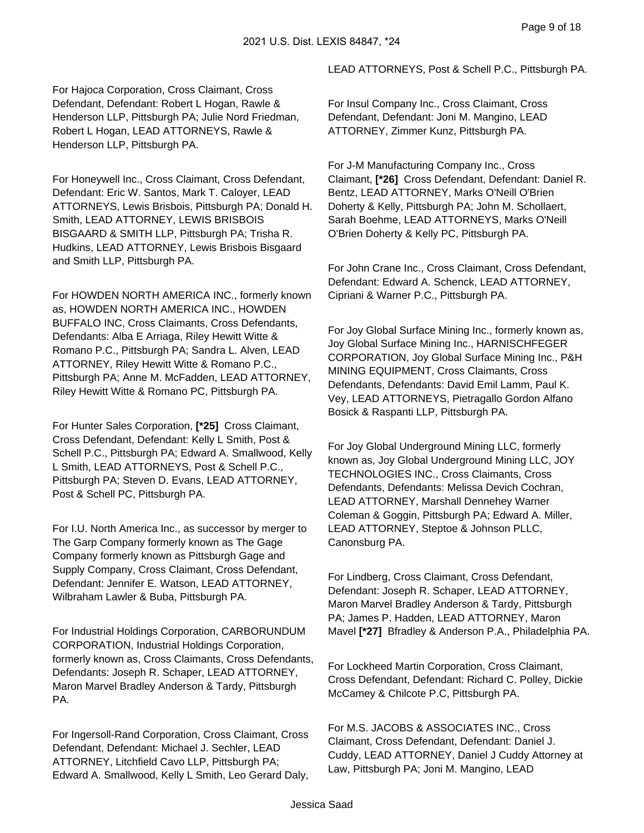For Hajoca Corporation, Cross Claimant, Cross Defendant, Defendant: Robert L Hogan, Rawle & Henderson LLP, Pittsburgh PA; Julie Nord Friedman, Robert L Hogan, LEAD ATTORNEYS, Rawle & Henderson LLP, Pittsburgh PA.

For Honeywell Inc., Cross Claimant, Cross Defendant, Defendant: Eric W. Santos, Mark T. Caloyer, LEAD ATTORNEYS, Lewis Brisbois, Pittsburgh PA; Donald H. Smith, LEAD ATTORNEY, LEWIS BRISBOIS BISGAARD & SMITH LLP, Pittsburgh PA; Trisha R. Hudkins, LEAD ATTORNEY, Lewis Brisbois Bisgaard and Smith LLP, Pittsburgh PA.

For HOWDEN NORTH AMERICA INC., formerly known as, HOWDEN NORTH AMERICA INC., HOWDEN BUFFALO INC, Cross Claimants, Cross Defendants, Defendants: Alba E Arriaga, Riley Hewitt Witte & Romano P.C., Pittsburgh PA; Sandra L. Alven, LEAD ATTORNEY, Riley Hewitt Witte & Romano P.C., Pittsburgh PA; Anne M. McFadden, LEAD ATTORNEY, Riley Hewitt Witte & Romano PC, Pittsburgh PA.

For Hunter Sales Corporation, **[\*25]** Cross Claimant, Cross Defendant, Defendant: Kelly L Smith, Post & Schell P.C., Pittsburgh PA; Edward A. Smallwood, Kelly L Smith, LEAD ATTORNEYS, Post & Schell P.C., Pittsburgh PA; Steven D. Evans, LEAD ATTORNEY, Post & Schell PC, Pittsburgh PA.

For I.U. North America Inc., as successor by merger to The Garp Company formerly known as The Gage Company formerly known as Pittsburgh Gage and Supply Company, Cross Claimant, Cross Defendant, Defendant: Jennifer E. Watson, LEAD ATTORNEY, Wilbraham Lawler & Buba, Pittsburgh PA.

For Industrial Holdings Corporation, CARBORUNDUM CORPORATION, Industrial Holdings Corporation, formerly known as, Cross Claimants, Cross Defendants, Defendants: Joseph R. Schaper, LEAD ATTORNEY, Maron Marvel Bradley Anderson & Tardy, Pittsburgh PA.

For Ingersoll-Rand Corporation, Cross Claimant, Cross Defendant, Defendant: Michael J. Sechler, LEAD ATTORNEY, Litchfield Cavo LLP, Pittsburgh PA; Edward A. Smallwood, Kelly L Smith, Leo Gerard Daly, LEAD ATTORNEYS, Post & Schell P.C., Pittsburgh PA.

For Insul Company Inc., Cross Claimant, Cross Defendant, Defendant: Joni M. Mangino, LEAD ATTORNEY, Zimmer Kunz, Pittsburgh PA.

For J-M Manufacturing Company Inc., Cross Claimant, **[\*26]** Cross Defendant, Defendant: Daniel R. Bentz, LEAD ATTORNEY, Marks O'Neill O'Brien Doherty & Kelly, Pittsburgh PA; John M. Schollaert, Sarah Boehme, LEAD ATTORNEYS, Marks O'Neill O'Brien Doherty & Kelly PC, Pittsburgh PA.

For John Crane Inc., Cross Claimant, Cross Defendant, Defendant: Edward A. Schenck, LEAD ATTORNEY, Cipriani & Warner P.C., Pittsburgh PA.

For Joy Global Surface Mining Inc., formerly known as, Joy Global Surface Mining Inc., HARNISCHFEGER CORPORATION, Joy Global Surface Mining Inc., P&H MINING EQUIPMENT, Cross Claimants, Cross Defendants, Defendants: David Emil Lamm, Paul K. Vey, LEAD ATTORNEYS, Pietragallo Gordon Alfano Bosick & Raspanti LLP, Pittsburgh PA.

For Joy Global Underground Mining LLC, formerly known as, Joy Global Underground Mining LLC, JOY TECHNOLOGIES INC., Cross Claimants, Cross Defendants, Defendants: Melissa Devich Cochran, LEAD ATTORNEY, Marshall Dennehey Warner Coleman & Goggin, Pittsburgh PA; Edward A. Miller, LEAD ATTORNEY, Steptoe & Johnson PLLC, Canonsburg PA.

For Lindberg, Cross Claimant, Cross Defendant, Defendant: Joseph R. Schaper, LEAD ATTORNEY, Maron Marvel Bradley Anderson & Tardy, Pittsburgh PA; James P. Hadden, LEAD ATTORNEY, Maron Mavel **[\*27]** Bfradley & Anderson P.A., Philadelphia PA.

For Lockheed Martin Corporation, Cross Claimant, Cross Defendant, Defendant: Richard C. Polley, Dickie McCamey & Chilcote P.C, Pittsburgh PA.

For M.S. JACOBS & ASSOCIATES INC., Cross Claimant, Cross Defendant, Defendant: Daniel J. Cuddy, LEAD ATTORNEY, Daniel J Cuddy Attorney at Law, Pittsburgh PA; Joni M. Mangino, LEAD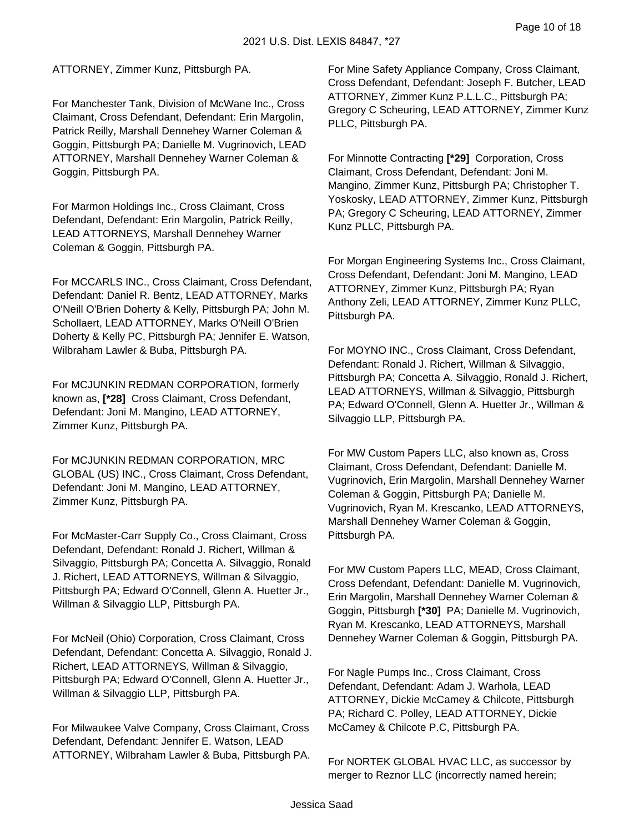ATTORNEY, Zimmer Kunz, Pittsburgh PA.

For Manchester Tank, Division of McWane Inc., Cross Claimant, Cross Defendant, Defendant: Erin Margolin, Patrick Reilly, Marshall Dennehey Warner Coleman & Goggin, Pittsburgh PA; Danielle M. Vugrinovich, LEAD ATTORNEY, Marshall Dennehey Warner Coleman & Goggin, Pittsburgh PA.

For Marmon Holdings Inc., Cross Claimant, Cross Defendant, Defendant: Erin Margolin, Patrick Reilly, LEAD ATTORNEYS, Marshall Dennehey Warner Coleman & Goggin, Pittsburgh PA.

For MCCARLS INC., Cross Claimant, Cross Defendant, Defendant: Daniel R. Bentz, LEAD ATTORNEY, Marks O'Neill O'Brien Doherty & Kelly, Pittsburgh PA; John M. Schollaert, LEAD ATTORNEY, Marks O'Neill O'Brien Doherty & Kelly PC, Pittsburgh PA; Jennifer E. Watson, Wilbraham Lawler & Buba, Pittsburgh PA.

For MCJUNKIN REDMAN CORPORATION, formerly known as, **[\*28]** Cross Claimant, Cross Defendant, Defendant: Joni M. Mangino, LEAD ATTORNEY, Zimmer Kunz, Pittsburgh PA.

For MCJUNKIN REDMAN CORPORATION, MRC GLOBAL (US) INC., Cross Claimant, Cross Defendant, Defendant: Joni M. Mangino, LEAD ATTORNEY, Zimmer Kunz, Pittsburgh PA.

For McMaster-Carr Supply Co., Cross Claimant, Cross Defendant, Defendant: Ronald J. Richert, Willman & Silvaggio, Pittsburgh PA; Concetta A. Silvaggio, Ronald J. Richert, LEAD ATTORNEYS, Willman & Silvaggio, Pittsburgh PA; Edward O'Connell, Glenn A. Huetter Jr., Willman & Silvaggio LLP, Pittsburgh PA.

For McNeil (Ohio) Corporation, Cross Claimant, Cross Defendant, Defendant: Concetta A. Silvaggio, Ronald J. Richert, LEAD ATTORNEYS, Willman & Silvaggio, Pittsburgh PA; Edward O'Connell, Glenn A. Huetter Jr., Willman & Silvaggio LLP, Pittsburgh PA.

For Milwaukee Valve Company, Cross Claimant, Cross Defendant, Defendant: Jennifer E. Watson, LEAD ATTORNEY, Wilbraham Lawler & Buba, Pittsburgh PA. For Mine Safety Appliance Company, Cross Claimant, Cross Defendant, Defendant: Joseph F. Butcher, LEAD ATTORNEY, Zimmer Kunz P.L.L.C., Pittsburgh PA; Gregory C Scheuring, LEAD ATTORNEY, Zimmer Kunz PLLC, Pittsburgh PA.

For Minnotte Contracting **[\*29]** Corporation, Cross Claimant, Cross Defendant, Defendant: Joni M. Mangino, Zimmer Kunz, Pittsburgh PA; Christopher T. Yoskosky, LEAD ATTORNEY, Zimmer Kunz, Pittsburgh PA; Gregory C Scheuring, LEAD ATTORNEY, Zimmer Kunz PLLC, Pittsburgh PA.

For Morgan Engineering Systems Inc., Cross Claimant, Cross Defendant, Defendant: Joni M. Mangino, LEAD ATTORNEY, Zimmer Kunz, Pittsburgh PA; Ryan Anthony Zeli, LEAD ATTORNEY, Zimmer Kunz PLLC, Pittsburgh PA.

For MOYNO INC., Cross Claimant, Cross Defendant, Defendant: Ronald J. Richert, Willman & Silvaggio, Pittsburgh PA; Concetta A. Silvaggio, Ronald J. Richert, LEAD ATTORNEYS, Willman & Silvaggio, Pittsburgh PA; Edward O'Connell, Glenn A. Huetter Jr., Willman & Silvaggio LLP, Pittsburgh PA.

For MW Custom Papers LLC, also known as, Cross Claimant, Cross Defendant, Defendant: Danielle M. Vugrinovich, Erin Margolin, Marshall Dennehey Warner Coleman & Goggin, Pittsburgh PA; Danielle M. Vugrinovich, Ryan M. Krescanko, LEAD ATTORNEYS, Marshall Dennehey Warner Coleman & Goggin, Pittsburgh PA.

For MW Custom Papers LLC, MEAD, Cross Claimant, Cross Defendant, Defendant: Danielle M. Vugrinovich, Erin Margolin, Marshall Dennehey Warner Coleman & Goggin, Pittsburgh **[\*30]** PA; Danielle M. Vugrinovich, Ryan M. Krescanko, LEAD ATTORNEYS, Marshall Dennehey Warner Coleman & Goggin, Pittsburgh PA.

For Nagle Pumps Inc., Cross Claimant, Cross Defendant, Defendant: Adam J. Warhola, LEAD ATTORNEY, Dickie McCamey & Chilcote, Pittsburgh PA; Richard C. Polley, LEAD ATTORNEY, Dickie McCamey & Chilcote P.C, Pittsburgh PA.

For NORTEK GLOBAL HVAC LLC, as successor by merger to Reznor LLC (incorrectly named herein;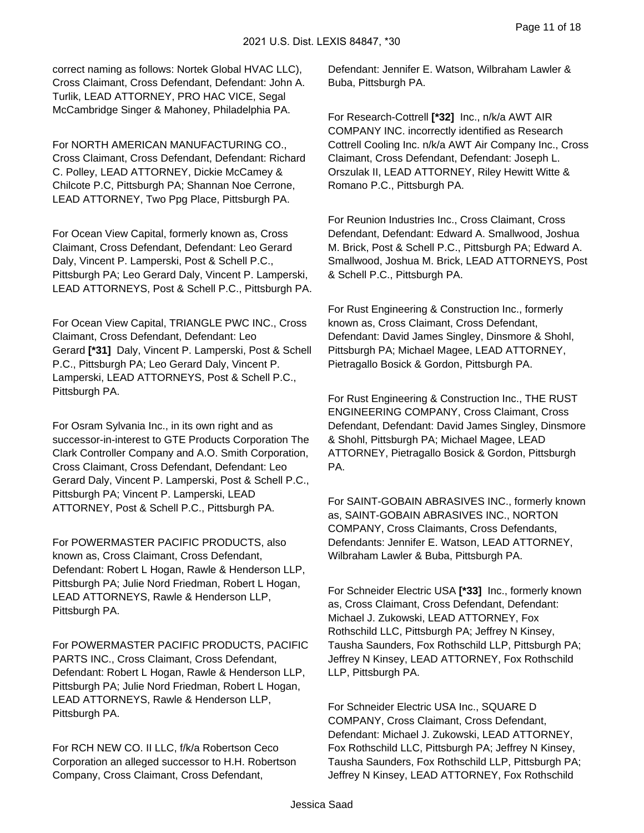correct naming as follows: Nortek Global HVAC LLC), Cross Claimant, Cross Defendant, Defendant: John A. Turlik, LEAD ATTORNEY, PRO HAC VICE, Segal McCambridge Singer & Mahoney, Philadelphia PA.

For NORTH AMERICAN MANUFACTURING CO., Cross Claimant, Cross Defendant, Defendant: Richard C. Polley, LEAD ATTORNEY, Dickie McCamey & Chilcote P.C, Pittsburgh PA; Shannan Noe Cerrone, LEAD ATTORNEY, Two Ppg Place, Pittsburgh PA.

For Ocean View Capital, formerly known as, Cross Claimant, Cross Defendant, Defendant: Leo Gerard Daly, Vincent P. Lamperski, Post & Schell P.C., Pittsburgh PA; Leo Gerard Daly, Vincent P. Lamperski, LEAD ATTORNEYS, Post & Schell P.C., Pittsburgh PA.

For Ocean View Capital, TRIANGLE PWC INC., Cross Claimant, Cross Defendant, Defendant: Leo Gerard **[\*31]** Daly, Vincent P. Lamperski, Post & Schell P.C., Pittsburgh PA; Leo Gerard Daly, Vincent P. Lamperski, LEAD ATTORNEYS, Post & Schell P.C., Pittsburgh PA.

For Osram Sylvania Inc., in its own right and as successor-in-interest to GTE Products Corporation The Clark Controller Company and A.O. Smith Corporation, Cross Claimant, Cross Defendant, Defendant: Leo Gerard Daly, Vincent P. Lamperski, Post & Schell P.C., Pittsburgh PA; Vincent P. Lamperski, LEAD ATTORNEY, Post & Schell P.C., Pittsburgh PA.

For POWERMASTER PACIFIC PRODUCTS, also known as, Cross Claimant, Cross Defendant, Defendant: Robert L Hogan, Rawle & Henderson LLP, Pittsburgh PA; Julie Nord Friedman, Robert L Hogan, LEAD ATTORNEYS, Rawle & Henderson LLP, Pittsburgh PA.

For POWERMASTER PACIFIC PRODUCTS, PACIFIC PARTS INC., Cross Claimant, Cross Defendant, Defendant: Robert L Hogan, Rawle & Henderson LLP, Pittsburgh PA; Julie Nord Friedman, Robert L Hogan, LEAD ATTORNEYS, Rawle & Henderson LLP, Pittsburgh PA.

For RCH NEW CO. II LLC, f/k/a Robertson Ceco Corporation an alleged successor to H.H. Robertson Company, Cross Claimant, Cross Defendant,

Defendant: Jennifer E. Watson, Wilbraham Lawler & Buba, Pittsburgh PA.

For Research-Cottrell **[\*32]** Inc., n/k/a AWT AIR COMPANY INC. incorrectly identified as Research Cottrell Cooling Inc. n/k/a AWT Air Company Inc., Cross Claimant, Cross Defendant, Defendant: Joseph L. Orszulak II, LEAD ATTORNEY, Riley Hewitt Witte & Romano P.C., Pittsburgh PA.

For Reunion Industries Inc., Cross Claimant, Cross Defendant, Defendant: Edward A. Smallwood, Joshua M. Brick, Post & Schell P.C., Pittsburgh PA; Edward A. Smallwood, Joshua M. Brick, LEAD ATTORNEYS, Post & Schell P.C., Pittsburgh PA.

For Rust Engineering & Construction Inc., formerly known as, Cross Claimant, Cross Defendant, Defendant: David James Singley, Dinsmore & Shohl, Pittsburgh PA; Michael Magee, LEAD ATTORNEY, Pietragallo Bosick & Gordon, Pittsburgh PA.

For Rust Engineering & Construction Inc., THE RUST ENGINEERING COMPANY, Cross Claimant, Cross Defendant, Defendant: David James Singley, Dinsmore & Shohl, Pittsburgh PA; Michael Magee, LEAD ATTORNEY, Pietragallo Bosick & Gordon, Pittsburgh PA.

For SAINT-GOBAIN ABRASIVES INC., formerly known as, SAINT-GOBAIN ABRASIVES INC., NORTON COMPANY, Cross Claimants, Cross Defendants, Defendants: Jennifer E. Watson, LEAD ATTORNEY, Wilbraham Lawler & Buba, Pittsburgh PA.

For Schneider Electric USA **[\*33]** Inc., formerly known as, Cross Claimant, Cross Defendant, Defendant: Michael J. Zukowski, LEAD ATTORNEY, Fox Rothschild LLC, Pittsburgh PA; Jeffrey N Kinsey, Tausha Saunders, Fox Rothschild LLP, Pittsburgh PA; Jeffrey N Kinsey, LEAD ATTORNEY, Fox Rothschild LLP, Pittsburgh PA.

For Schneider Electric USA Inc., SQUARE D COMPANY, Cross Claimant, Cross Defendant, Defendant: Michael J. Zukowski, LEAD ATTORNEY, Fox Rothschild LLC, Pittsburgh PA; Jeffrey N Kinsey, Tausha Saunders, Fox Rothschild LLP, Pittsburgh PA; Jeffrey N Kinsey, LEAD ATTORNEY, Fox Rothschild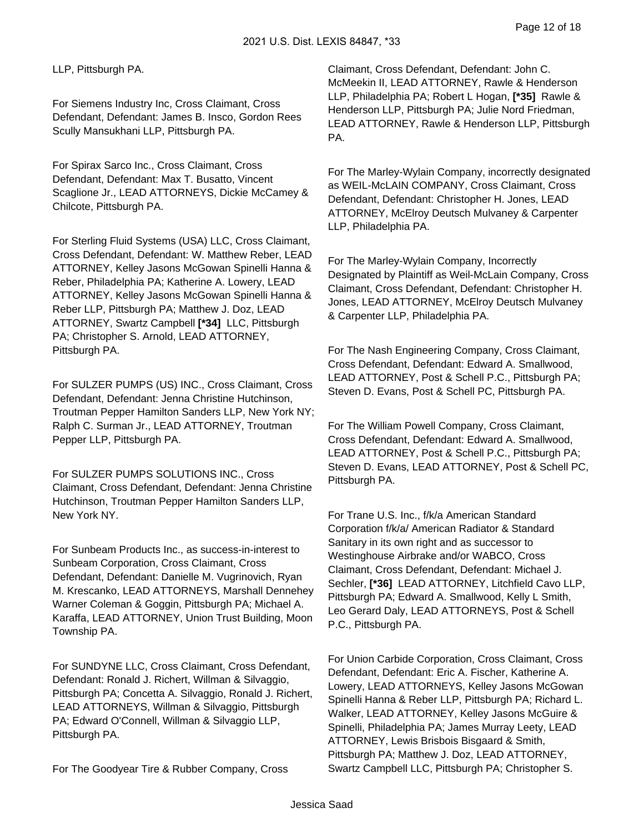LLP, Pittsburgh PA.

For Siemens Industry Inc, Cross Claimant, Cross Defendant, Defendant: James B. Insco, Gordon Rees Scully Mansukhani LLP, Pittsburgh PA.

For Spirax Sarco Inc., Cross Claimant, Cross Defendant, Defendant: Max T. Busatto, Vincent Scaglione Jr., LEAD ATTORNEYS, Dickie McCamey & Chilcote, Pittsburgh PA.

For Sterling Fluid Systems (USA) LLC, Cross Claimant, Cross Defendant, Defendant: W. Matthew Reber, LEAD ATTORNEY, Kelley Jasons McGowan Spinelli Hanna & Reber, Philadelphia PA; Katherine A. Lowery, LEAD ATTORNEY, Kelley Jasons McGowan Spinelli Hanna & Reber LLP, Pittsburgh PA; Matthew J. Doz, LEAD ATTORNEY, Swartz Campbell **[\*34]** LLC, Pittsburgh PA; Christopher S. Arnold, LEAD ATTORNEY, Pittsburgh PA.

For SULZER PUMPS (US) INC., Cross Claimant, Cross Defendant, Defendant: Jenna Christine Hutchinson, Troutman Pepper Hamilton Sanders LLP, New York NY; Ralph C. Surman Jr., LEAD ATTORNEY, Troutman Pepper LLP, Pittsburgh PA.

For SULZER PUMPS SOLUTIONS INC., Cross Claimant, Cross Defendant, Defendant: Jenna Christine Hutchinson, Troutman Pepper Hamilton Sanders LLP, New York NY.

For Sunbeam Products Inc., as success-in-interest to Sunbeam Corporation, Cross Claimant, Cross Defendant, Defendant: Danielle M. Vugrinovich, Ryan M. Krescanko, LEAD ATTORNEYS, Marshall Dennehey Warner Coleman & Goggin, Pittsburgh PA; Michael A. Karaffa, LEAD ATTORNEY, Union Trust Building, Moon Township PA.

For SUNDYNE LLC, Cross Claimant, Cross Defendant, Defendant: Ronald J. Richert, Willman & Silvaggio, Pittsburgh PA; Concetta A. Silvaggio, Ronald J. Richert, LEAD ATTORNEYS, Willman & Silvaggio, Pittsburgh PA; Edward O'Connell, Willman & Silvaggio LLP, Pittsburgh PA.

For The Goodyear Tire & Rubber Company, Cross

Claimant, Cross Defendant, Defendant: John C. McMeekin II, LEAD ATTORNEY, Rawle & Henderson LLP, Philadelphia PA; Robert L Hogan, **[\*35]** Rawle & Henderson LLP, Pittsburgh PA; Julie Nord Friedman, LEAD ATTORNEY, Rawle & Henderson LLP, Pittsburgh PA.

For The Marley-Wylain Company, incorrectly designated as WEIL-McLAIN COMPANY, Cross Claimant, Cross Defendant, Defendant: Christopher H. Jones, LEAD ATTORNEY, McElroy Deutsch Mulvaney & Carpenter LLP, Philadelphia PA.

For The Marley-Wylain Company, Incorrectly Designated by Plaintiff as Weil-McLain Company, Cross Claimant, Cross Defendant, Defendant: Christopher H. Jones, LEAD ATTORNEY, McElroy Deutsch Mulvaney & Carpenter LLP, Philadelphia PA.

For The Nash Engineering Company, Cross Claimant, Cross Defendant, Defendant: Edward A. Smallwood, LEAD ATTORNEY, Post & Schell P.C., Pittsburgh PA; Steven D. Evans, Post & Schell PC, Pittsburgh PA.

For The William Powell Company, Cross Claimant, Cross Defendant, Defendant: Edward A. Smallwood, LEAD ATTORNEY, Post & Schell P.C., Pittsburgh PA; Steven D. Evans, LEAD ATTORNEY, Post & Schell PC, Pittsburgh PA.

For Trane U.S. Inc., f/k/a American Standard Corporation f/k/a/ American Radiator & Standard Sanitary in its own right and as successor to Westinghouse Airbrake and/or WABCO, Cross Claimant, Cross Defendant, Defendant: Michael J. Sechler, **[\*36]** LEAD ATTORNEY, Litchfield Cavo LLP, Pittsburgh PA; Edward A. Smallwood, Kelly L Smith, Leo Gerard Daly, LEAD ATTORNEYS, Post & Schell P.C., Pittsburgh PA.

For Union Carbide Corporation, Cross Claimant, Cross Defendant, Defendant: Eric A. Fischer, Katherine A. Lowery, LEAD ATTORNEYS, Kelley Jasons McGowan Spinelli Hanna & Reber LLP, Pittsburgh PA; Richard L. Walker, LEAD ATTORNEY, Kelley Jasons McGuire & Spinelli, Philadelphia PA; James Murray Leety, LEAD ATTORNEY, Lewis Brisbois Bisgaard & Smith, Pittsburgh PA; Matthew J. Doz, LEAD ATTORNEY, Swartz Campbell LLC, Pittsburgh PA; Christopher S.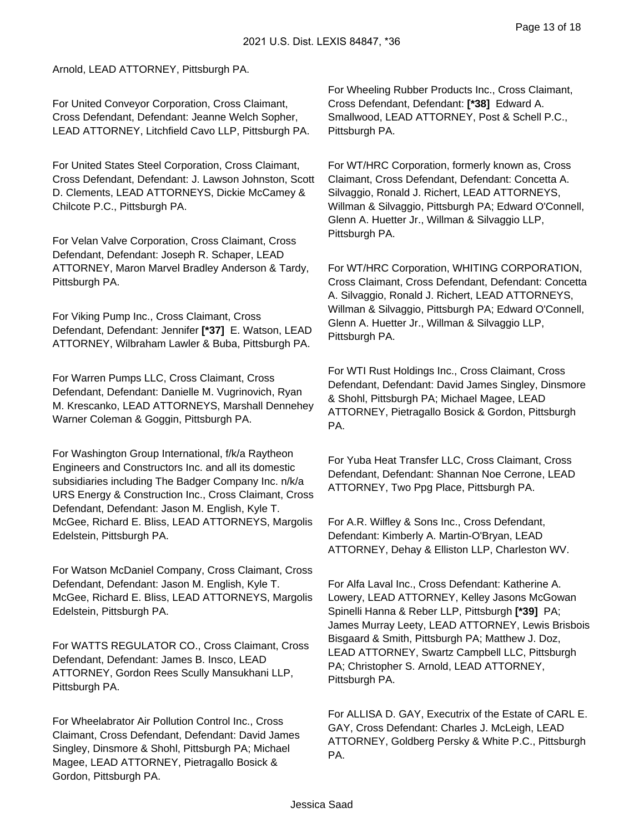#### Arnold, LEAD ATTORNEY, Pittsburgh PA.

For United Conveyor Corporation, Cross Claimant, Cross Defendant, Defendant: Jeanne Welch Sopher, LEAD ATTORNEY, Litchfield Cavo LLP, Pittsburgh PA.

For United States Steel Corporation, Cross Claimant, Cross Defendant, Defendant: J. Lawson Johnston, Scott D. Clements, LEAD ATTORNEYS, Dickie McCamey & Chilcote P.C., Pittsburgh PA.

For Velan Valve Corporation, Cross Claimant, Cross Defendant, Defendant: Joseph R. Schaper, LEAD ATTORNEY, Maron Marvel Bradley Anderson & Tardy, Pittsburgh PA.

For Viking Pump Inc., Cross Claimant, Cross Defendant, Defendant: Jennifer **[\*37]** E. Watson, LEAD ATTORNEY, Wilbraham Lawler & Buba, Pittsburgh PA.

For Warren Pumps LLC, Cross Claimant, Cross Defendant, Defendant: Danielle M. Vugrinovich, Ryan M. Krescanko, LEAD ATTORNEYS, Marshall Dennehey Warner Coleman & Goggin, Pittsburgh PA.

For Washington Group International, f/k/a Raytheon Engineers and Constructors Inc. and all its domestic subsidiaries including The Badger Company Inc. n/k/a URS Energy & Construction Inc., Cross Claimant, Cross Defendant, Defendant: Jason M. English, Kyle T. McGee, Richard E. Bliss, LEAD ATTORNEYS, Margolis Edelstein, Pittsburgh PA.

For Watson McDaniel Company, Cross Claimant, Cross Defendant, Defendant: Jason M. English, Kyle T. McGee, Richard E. Bliss, LEAD ATTORNEYS, Margolis Edelstein, Pittsburgh PA.

For WATTS REGULATOR CO., Cross Claimant, Cross Defendant, Defendant: James B. Insco, LEAD ATTORNEY, Gordon Rees Scully Mansukhani LLP, Pittsburgh PA.

For Wheelabrator Air Pollution Control Inc., Cross Claimant, Cross Defendant, Defendant: David James Singley, Dinsmore & Shohl, Pittsburgh PA; Michael Magee, LEAD ATTORNEY, Pietragallo Bosick & Gordon, Pittsburgh PA.

For Wheeling Rubber Products Inc., Cross Claimant, Cross Defendant, Defendant: **[\*38]** Edward A. Smallwood, LEAD ATTORNEY, Post & Schell P.C., Pittsburgh PA.

For WT/HRC Corporation, formerly known as, Cross Claimant, Cross Defendant, Defendant: Concetta A. Silvaggio, Ronald J. Richert, LEAD ATTORNEYS, Willman & Silvaggio, Pittsburgh PA; Edward O'Connell, Glenn A. Huetter Jr., Willman & Silvaggio LLP, Pittsburgh PA.

For WT/HRC Corporation, WHITING CORPORATION, Cross Claimant, Cross Defendant, Defendant: Concetta A. Silvaggio, Ronald J. Richert, LEAD ATTORNEYS, Willman & Silvaggio, Pittsburgh PA; Edward O'Connell, Glenn A. Huetter Jr., Willman & Silvaggio LLP, Pittsburgh PA.

For WTI Rust Holdings Inc., Cross Claimant, Cross Defendant, Defendant: David James Singley, Dinsmore & Shohl, Pittsburgh PA; Michael Magee, LEAD ATTORNEY, Pietragallo Bosick & Gordon, Pittsburgh PA.

For Yuba Heat Transfer LLC, Cross Claimant, Cross Defendant, Defendant: Shannan Noe Cerrone, LEAD ATTORNEY, Two Ppg Place, Pittsburgh PA.

For A.R. Wilfley & Sons Inc., Cross Defendant, Defendant: Kimberly A. Martin-O'Bryan, LEAD ATTORNEY, Dehay & Elliston LLP, Charleston WV.

For Alfa Laval Inc., Cross Defendant: Katherine A. Lowery, LEAD ATTORNEY, Kelley Jasons McGowan Spinelli Hanna & Reber LLP, Pittsburgh **[\*39]** PA; James Murray Leety, LEAD ATTORNEY, Lewis Brisbois Bisgaard & Smith, Pittsburgh PA; Matthew J. Doz, LEAD ATTORNEY, Swartz Campbell LLC, Pittsburgh PA; Christopher S. Arnold, LEAD ATTORNEY, Pittsburgh PA.

For ALLISA D. GAY, Executrix of the Estate of CARL E. GAY, Cross Defendant: Charles J. McLeigh, LEAD ATTORNEY, Goldberg Persky & White P.C., Pittsburgh PA.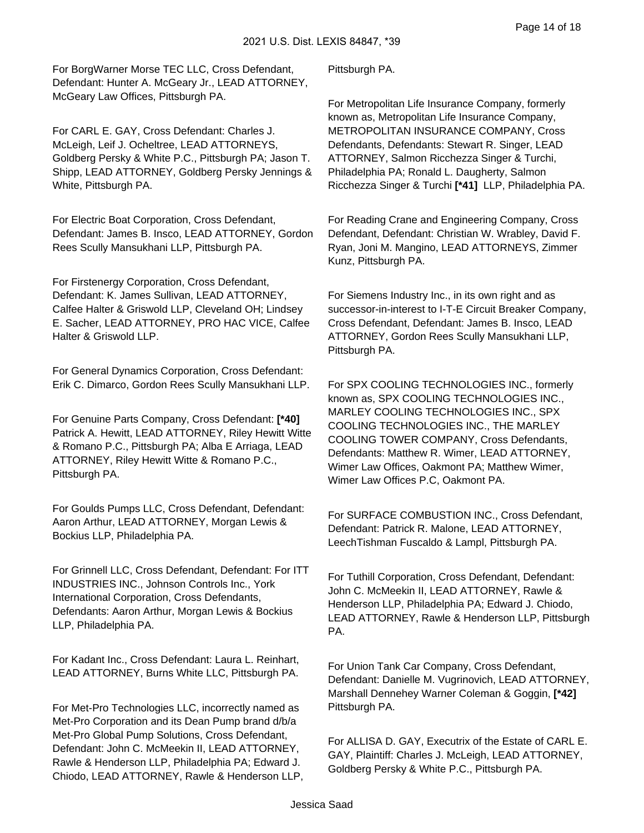For BorgWarner Morse TEC LLC, Cross Defendant, Defendant: Hunter A. McGeary Jr., LEAD ATTORNEY, McGeary Law Offices, Pittsburgh PA.

For CARL E. GAY, Cross Defendant: Charles J. McLeigh, Leif J. Ocheltree, LEAD ATTORNEYS, Goldberg Persky & White P.C., Pittsburgh PA; Jason T. Shipp, LEAD ATTORNEY, Goldberg Persky Jennings & White, Pittsburgh PA.

For Electric Boat Corporation, Cross Defendant, Defendant: James B. Insco, LEAD ATTORNEY, Gordon Rees Scully Mansukhani LLP, Pittsburgh PA.

For Firstenergy Corporation, Cross Defendant, Defendant: K. James Sullivan, LEAD ATTORNEY, Calfee Halter & Griswold LLP, Cleveland OH; Lindsey E. Sacher, LEAD ATTORNEY, PRO HAC VICE, Calfee Halter & Griswold LLP.

For General Dynamics Corporation, Cross Defendant: Erik C. Dimarco, Gordon Rees Scully Mansukhani LLP.

For Genuine Parts Company, Cross Defendant: **[\*40]**  Patrick A. Hewitt, LEAD ATTORNEY, Riley Hewitt Witte & Romano P.C., Pittsburgh PA; Alba E Arriaga, LEAD ATTORNEY, Riley Hewitt Witte & Romano P.C., Pittsburgh PA.

For Goulds Pumps LLC, Cross Defendant, Defendant: Aaron Arthur, LEAD ATTORNEY, Morgan Lewis & Bockius LLP, Philadelphia PA.

For Grinnell LLC, Cross Defendant, Defendant: For ITT INDUSTRIES INC., Johnson Controls Inc., York International Corporation, Cross Defendants, Defendants: Aaron Arthur, Morgan Lewis & Bockius LLP, Philadelphia PA.

For Kadant Inc., Cross Defendant: Laura L. Reinhart, LEAD ATTORNEY, Burns White LLC, Pittsburgh PA.

For Met-Pro Technologies LLC, incorrectly named as Met-Pro Corporation and its Dean Pump brand d/b/a Met-Pro Global Pump Solutions, Cross Defendant, Defendant: John C. McMeekin II, LEAD ATTORNEY, Rawle & Henderson LLP, Philadelphia PA; Edward J. Chiodo, LEAD ATTORNEY, Rawle & Henderson LLP, Pittsburgh PA.

For Metropolitan Life Insurance Company, formerly known as, Metropolitan Life Insurance Company, METROPOLITAN INSURANCE COMPANY, Cross Defendants, Defendants: Stewart R. Singer, LEAD ATTORNEY, Salmon Ricchezza Singer & Turchi, Philadelphia PA; Ronald L. Daugherty, Salmon Ricchezza Singer & Turchi **[\*41]** LLP, Philadelphia PA.

For Reading Crane and Engineering Company, Cross Defendant, Defendant: Christian W. Wrabley, David F. Ryan, Joni M. Mangino, LEAD ATTORNEYS, Zimmer Kunz, Pittsburgh PA.

For Siemens Industry Inc., in its own right and as successor-in-interest to I-T-E Circuit Breaker Company, Cross Defendant, Defendant: James B. Insco, LEAD ATTORNEY, Gordon Rees Scully Mansukhani LLP, Pittsburgh PA.

For SPX COOLING TECHNOLOGIES INC., formerly known as, SPX COOLING TECHNOLOGIES INC., MARLEY COOLING TECHNOLOGIES INC., SPX COOLING TECHNOLOGIES INC., THE MARLEY COOLING TOWER COMPANY, Cross Defendants, Defendants: Matthew R. Wimer, LEAD ATTORNEY, Wimer Law Offices, Oakmont PA; Matthew Wimer, Wimer Law Offices P.C, Oakmont PA.

For SURFACE COMBUSTION INC., Cross Defendant, Defendant: Patrick R. Malone, LEAD ATTORNEY, LeechTishman Fuscaldo & Lampl, Pittsburgh PA.

For Tuthill Corporation, Cross Defendant, Defendant: John C. McMeekin II, LEAD ATTORNEY, Rawle & Henderson LLP, Philadelphia PA; Edward J. Chiodo, LEAD ATTORNEY, Rawle & Henderson LLP, Pittsburgh PA.

For Union Tank Car Company, Cross Defendant, Defendant: Danielle M. Vugrinovich, LEAD ATTORNEY, Marshall Dennehey Warner Coleman & Goggin, **[\*42]**  Pittsburgh PA.

For ALLISA D. GAY, Executrix of the Estate of CARL E. GAY, Plaintiff: Charles J. McLeigh, LEAD ATTORNEY, Goldberg Persky & White P.C., Pittsburgh PA.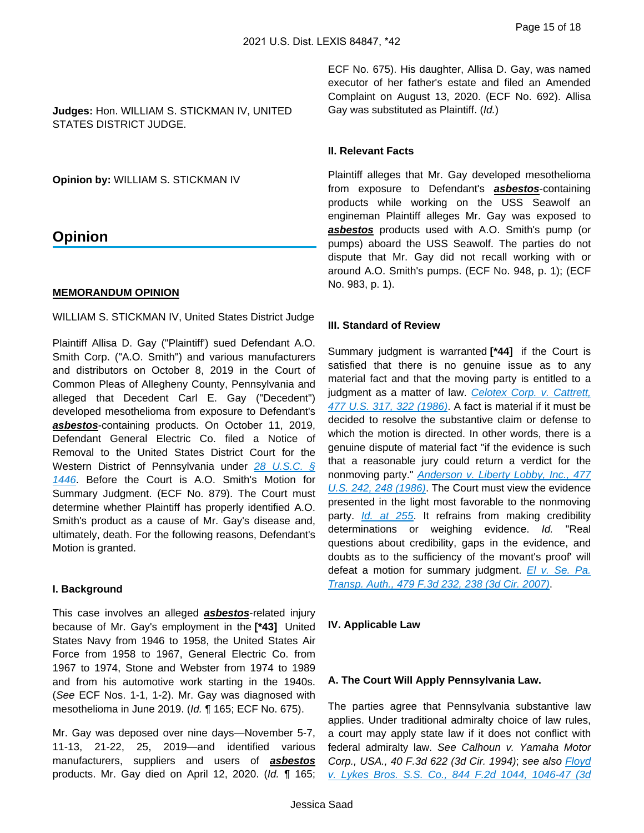**Judges:** Hon. WILLIAM S. STICKMAN IV, UNITED STATES DISTRICT JUDGE.

**Opinion by:** WILLIAM S. STICKMAN IV

# **Opinion**

#### **MEMORANDUM OPINION**

WILLIAM S. STICKMAN IV, United States District Judge

Plaintiff Allisa D. Gay ("Plaintiff') sued Defendant A.O. Smith Corp. ("A.O. Smith") and various manufacturers and distributors on October 8, 2019 in the Court of Common Pleas of Allegheny County, Pennsylvania and alleged that Decedent Carl E. Gay ("Decedent") developed mesothelioma from exposure to Defendant's **asbestos**-containing products. On October 11, 2019, Defendant General Electric Co. filed a Notice of Removal to the United States District Court for the Western District of Pennsylvania under 28 U.S.C. § [1446](https://advance.lexis.com/api/document?collection=statutes-legislation&id=urn:contentItem:8SG9-5HW2-D6RV-H0JN-00000-00&context=1000516). Before the Court is A.O. Smith's Motion for Summary Judgment. (ECF No. 879). The Court must determine whether Plaintiff has properly identified A.O. Smith's product as a cause of Mr. Gay's disease and, ultimately, death. For the following reasons, Defendant's Motion is granted.

#### **I. Background**

This case involves an alleged **asbestos**-related injury because of Mr. Gay's employment in the **[\*43]** United States Navy from 1946 to 1958, the United States Air Force from 1958 to 1967, General Electric Co. from 1967 to 1974, Stone and Webster from 1974 to 1989 and from his automotive work starting in the 1940s. (See ECF Nos. 1-1, 1-2). Mr. Gay was diagnosed with mesothelioma in June 2019. (Id. ¶ 165; ECF No. 675).

Mr. Gay was deposed over nine days—November 5-7, 11-13, 21-22, 25, 2019—and identified various manufacturers, suppliers and users of **asbestos** products. Mr. Gay died on April 12, 2020. (Id. ¶ 165;

ECF No. 675). His daughter, Allisa D. Gay, was named executor of her father's estate and filed an Amended Complaint on August 13, 2020. (ECF No. 692). Allisa Gay was substituted as Plaintiff. (Id.)

#### **II. Relevant Facts**

Plaintiff alleges that Mr. Gay developed mesothelioma from exposure to Defendant's **asbestos**-containing products while working on the USS Seawolf an engineman Plaintiff alleges Mr. Gay was exposed to **asbestos** products used with A.O. Smith's pump (or pumps) aboard the USS Seawolf. The parties do not dispute that Mr. Gay did not recall working with or around A.O. Smith's pumps. (ECF No. 948, p. 1); (ECF No. 983, p. 1).

#### **III. Standard of Review**

Summary judgment is warranted **[\*44]** if the Court is satisfied that there is no genuine issue as to any material fact and that the moving party is entitled to a judgment as a matter of law. Celotex Corp. v. Cattrett, [477 U.S. 317, 322 \(1986\)](https://advance.lexis.com/api/document?collection=cases&id=urn:contentItem:3S4X-6HC0-0039-N37R-00000-00&context=1000516). A fact is material if it must be decided to resolve the substantive claim or defense to which the motion is directed. In other words, there is a genuine dispute of material fact "if the evidence is such that a reasonable jury could return a verdict for the nonmoving party." Anderson v. Liberty Lobby, Inc., 477 [U.S. 242, 248 \(1986\)](https://advance.lexis.com/api/document?collection=cases&id=urn:contentItem:3S4X-6H80-0039-N37M-00000-00&context=1000516). The Court must view the evidence presented in the light most favorable to the nonmoving party. *[Id. at 255](https://advance.lexis.com/api/document?collection=cases&id=urn:contentItem:3S4X-6H80-0039-N37M-00000-00&context=1000516)*. It refrains from making credibility determinations or weighing evidence. Id. "Real questions about credibility, gaps in the evidence, and doubts as to the sufficiency of the movant's proof' will defeat a motion for summary judgment.  $E/v$ . Se. Pa. [Transp. Auth., 479 F.3d 232, 238 \(3d Cir. 2007\)](https://advance.lexis.com/api/document?collection=cases&id=urn:contentItem:4N99-1FR0-0038-X2JF-00000-00&context=1000516).

#### **IV. Applicable Law**

#### **A. The Court Will Apply Pennsylvania Law.**

The parties agree that Pennsylvania substantive law applies. Under traditional admiralty choice of law rules, a court may apply state law if it does not conflict with federal admiralty law. See Calhoun v. Yamaha Motor Corp., USA., 40 F.3d 622 (3d Cir. 1994); see also *Floyd* [v. Lykes Bros. S.S. Co., 844 F.2d 1044, 1046-47 \(3d](https://advance.lexis.com/api/document?collection=cases&id=urn:contentItem:3S4X-1F00-001B-K0G4-00000-00&context=1000516)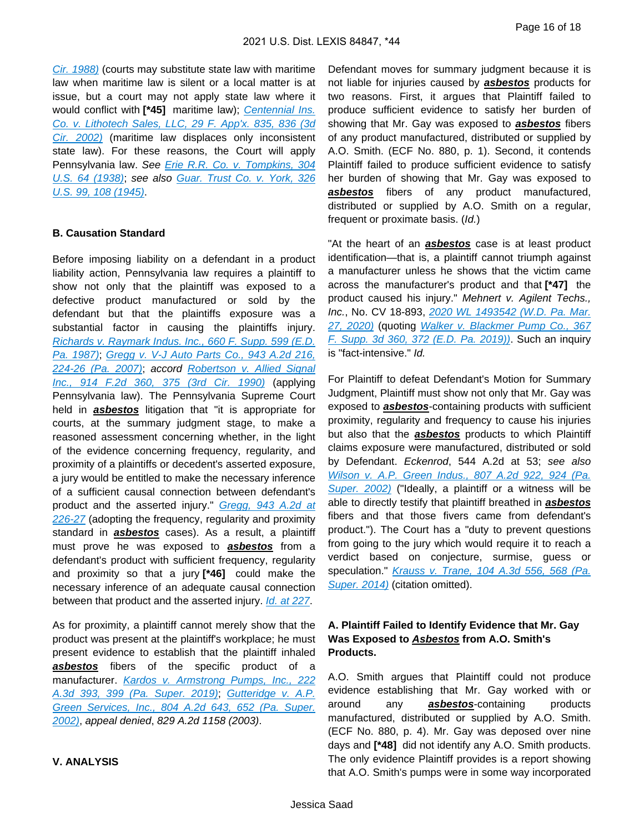[Cir. 1988\)](https://advance.lexis.com/api/document?collection=cases&id=urn:contentItem:3S4X-1F00-001B-K0G4-00000-00&context=1000516) (courts may substitute state law with maritime law when maritime law is silent or a local matter is at issue, but a court may not apply state law where it would conflict with [\*45] maritime law); Centennial Ins. [Co. v. Lithotech Sales, LLC, 29 F. App'x. 835, 836 \(3d](https://advance.lexis.com/api/document?collection=cases&id=urn:contentItem:4582-RHN0-0038-X03R-00000-00&context=1000516)  [Cir. 2002\)](https://advance.lexis.com/api/document?collection=cases&id=urn:contentItem:4582-RHN0-0038-X03R-00000-00&context=1000516) (maritime law displaces only inconsistent state law). For these reasons, the Court will apply Pennsylvania law. See [Erie R.R. Co. v. Tompkins, 304](https://advance.lexis.com/api/document?collection=cases&id=urn:contentItem:3S4X-8PN0-003B-708F-00000-00&context=1000516)  [U.S. 64 \(1938\)](https://advance.lexis.com/api/document?collection=cases&id=urn:contentItem:3S4X-8PN0-003B-708F-00000-00&context=1000516); see also [Guar. Trust Co. v. York, 326](https://advance.lexis.com/api/document?collection=cases&id=urn:contentItem:3S4X-JYW0-003B-S44G-00000-00&context=1000516)  [U.S. 99, 108 \(1945\)](https://advance.lexis.com/api/document?collection=cases&id=urn:contentItem:3S4X-JYW0-003B-S44G-00000-00&context=1000516).

#### **B. Causation Standard**

Before imposing liability on a defendant in a product liability action, Pennsylvania law requires a plaintiff to show not only that the plaintiff was exposed to a defective product manufactured or sold by the defendant but that the plaintiffs exposure was a substantial factor in causing the plaintiffs injury. [Richards v. Raymark Indus. Inc., 660 F. Supp. 599 \(E.D.](https://advance.lexis.com/api/document?collection=cases&id=urn:contentItem:3S4N-CY50-003B-609F-00000-00&context=1000516)  [Pa. 1987\)](https://advance.lexis.com/api/document?collection=cases&id=urn:contentItem:3S4N-CY50-003B-609F-00000-00&context=1000516); [Gregg v. V-J Auto Parts Co., 943 A.2d 216,](https://advance.lexis.com/api/document?collection=cases&id=urn:contentItem:4RGX-8FY0-TX4N-G0WM-00000-00&context=1000516)  [224-26 \(Pa. 2007\)](https://advance.lexis.com/api/document?collection=cases&id=urn:contentItem:4RGX-8FY0-TX4N-G0WM-00000-00&context=1000516); accord [Robertson v. Allied Signal](https://advance.lexis.com/api/document?collection=cases&id=urn:contentItem:3S4X-2WD0-003B-520M-00000-00&context=1000516)  [Inc., 914 F.2d 360, 375 \(3rd Cir. 1990\)](https://advance.lexis.com/api/document?collection=cases&id=urn:contentItem:3S4X-2WD0-003B-520M-00000-00&context=1000516) (applying Pennsylvania law). The Pennsylvania Supreme Court held in **asbestos** litigation that "it is appropriate for courts, at the summary judgment stage, to make a reasoned assessment concerning whether, in the light of the evidence concerning frequency, regularity, and proximity of a plaintiffs or decedent's asserted exposure, a jury would be entitled to make the necessary inference of a sufficient causal connection between defendant's product and the asserted injury." Gregg, 943 A.2d at [226-27](https://advance.lexis.com/api/document?collection=cases&id=urn:contentItem:4RGX-8FY0-TX4N-G0WM-00000-00&context=1000516) (adopting the frequency, regularity and proximity standard in **asbestos** cases). As a result, a plaintiff must prove he was exposed to **asbestos** from a defendant's product with sufficient frequency, regularity and proximity so that a jury **[\*46]** could make the necessary inference of an adequate causal connection between that product and the asserted injury. *[Id. at 227](https://advance.lexis.com/api/document?collection=cases&id=urn:contentItem:4RGX-8FY0-TX4N-G0WM-00000-00&context=1000516)*.

As for proximity, a plaintiff cannot merely show that the product was present at the plaintiff's workplace; he must present evidence to establish that the plaintiff inhaled **asbestos** fibers of the specific product of a manufacturer. [Kardos v. Armstrong Pumps, Inc., 222](https://advance.lexis.com/api/document?collection=cases&id=urn:contentItem:5XCG-56R1-DYMS-63M7-00000-00&context=1000516)  [A.3d 393, 399 \(Pa. Super. 2019\)](https://advance.lexis.com/api/document?collection=cases&id=urn:contentItem:5XCG-56R1-DYMS-63M7-00000-00&context=1000516); [Gutteridge v. A.P.](https://advance.lexis.com/api/document?collection=cases&id=urn:contentItem:463W-RHJ0-0039-42DT-00000-00&context=1000516)  [Green Services, Inc., 804 A.2d 643, 652 \(Pa. Super.](https://advance.lexis.com/api/document?collection=cases&id=urn:contentItem:463W-RHJ0-0039-42DT-00000-00&context=1000516)  [2002\)](https://advance.lexis.com/api/document?collection=cases&id=urn:contentItem:463W-RHJ0-0039-42DT-00000-00&context=1000516), appeal denied, 829 A.2d 1158 (2003).

**V. ANALYSIS**

Defendant moves for summary judgment because it is not liable for injuries caused by **asbestos** products for two reasons. First, it argues that Plaintiff failed to produce sufficient evidence to satisfy her burden of showing that Mr. Gay was exposed to **asbestos** fibers of any product manufactured, distributed or supplied by A.O. Smith. (ECF No. 880, p. 1). Second, it contends Plaintiff failed to produce sufficient evidence to satisfy her burden of showing that Mr. Gay was exposed to **asbestos** fibers of any product manufactured, distributed or supplied by A.O. Smith on a regular, frequent or proximate basis. (Id.)

"At the heart of an **asbestos** case is at least product identification—that is, a plaintiff cannot triumph against a manufacturer unless he shows that the victim came across the manufacturer's product and that **[\*47]** the product caused his injury." Mehnert v. Agilent Techs., Inc., No. CV 18-893, 2020 WL 1493542 (W.D. Pa. Mar. [27, 2020\)](https://advance.lexis.com/api/document?collection=cases&id=urn:contentItem:5YHS-RSR1-JC5P-G41T-00000-00&context=1000516) (quoting [Walker v. Blackmer Pump Co., 367](https://advance.lexis.com/api/document?collection=cases&id=urn:contentItem:5VF3-6N61-FH4C-X4BH-00000-00&context=1000516)  [F. Supp. 3d 360, 372 \(E.D. Pa. 2019\)\)](https://advance.lexis.com/api/document?collection=cases&id=urn:contentItem:5VF3-6N61-FH4C-X4BH-00000-00&context=1000516). Such an inquiry is "fact-intensive." Id.

For Plaintiff to defeat Defendant's Motion for Summary Judgment, Plaintiff must show not only that Mr. Gay was exposed to **asbestos**-containing products with sufficient proximity, regularity and frequency to cause his injuries but also that the **asbestos** products to which Plaintiff claims exposure were manufactured, distributed or sold by Defendant. Eckenrod, 544 A.2d at 53; see also [Wilson v. A.P. Green Indus., 807 A.2d 922, 924 \(Pa.](https://advance.lexis.com/api/document?collection=cases&id=urn:contentItem:46SH-0DD0-0039-440G-00000-00&context=1000516)  [Super. 2002\)](https://advance.lexis.com/api/document?collection=cases&id=urn:contentItem:46SH-0DD0-0039-440G-00000-00&context=1000516) ("Ideally, a plaintiff or a witness will be able to directly testify that plaintiff breathed in **asbestos** fibers and that those fivers came from defendant's product."). The Court has a "duty to prevent questions from going to the jury which would require it to reach a verdict based on conjecture, surmise, guess or speculation." Krauss v. Trane, 104 A.3d 556, 568 (Pa. [Super. 2014\)](https://advance.lexis.com/api/document?collection=cases&id=urn:contentItem:5DDT-JPK1-F04J-T3GR-00000-00&context=1000516) (citation omitted).

# **A. Plaintiff Failed to Identify Evidence that Mr. Gay Was Exposed to Asbestos from A.O. Smith's Products.**

A.O. Smith argues that Plaintiff could not produce evidence establishing that Mr. Gay worked with or around any **asbestos**-containing products manufactured, distributed or supplied by A.O. Smith. (ECF No. 880, p. 4). Mr. Gay was deposed over nine days and **[\*48]** did not identify any A.O. Smith products. The only evidence Plaintiff provides is a report showing that A.O. Smith's pumps were in some way incorporated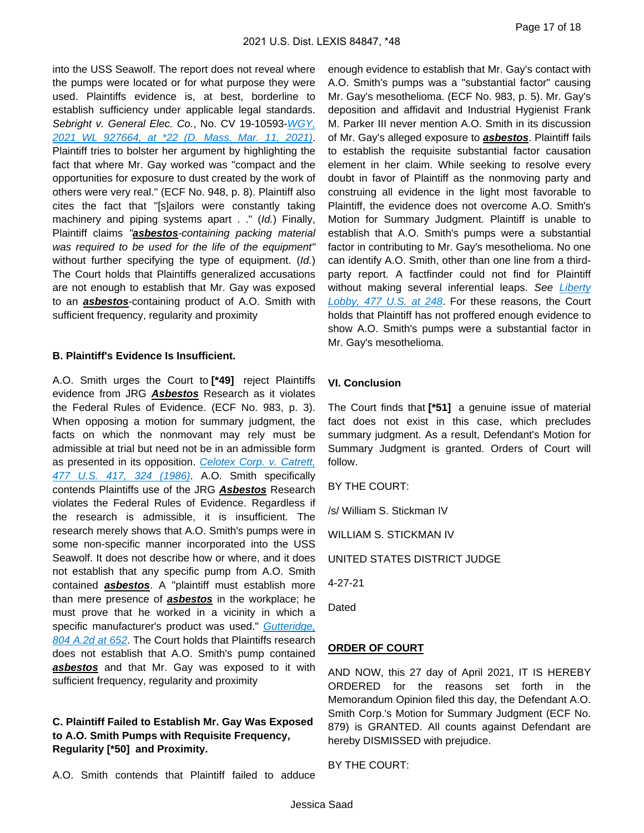into the USS Seawolf. The report does not reveal where the pumps were located or for what purpose they were used. Plaintiffs evidence is, at best, borderline to establish sufficiency under applicable legal standards. Sebright v. General Elec. Co., No. CV 19-10593-WGY, [2021 WL 927664, at \\*22 \(D. Mass. Mar. 11, 2021\)](https://advance.lexis.com/api/document?collection=cases&id=urn:contentItem:626D-JD21-JKHB-627S-00000-00&context=1000516). Plaintiff tries to bolster her argument by highlighting the fact that where Mr. Gay worked was "compact and the opportunities for exposure to dust created by the work of others were very real." (ECF No. 948, p. 8). Plaintiff also cites the fact that "[s]ailors were constantly taking machinery and piping systems apart . ." (Id.) Finally, Plaintiff claims "**asbestos**-containing packing material was required to be used for the life of the equipment" without further specifying the type of equipment. (Id.) The Court holds that Plaintiffs generalized accusations are not enough to establish that Mr. Gay was exposed to an **asbestos**-containing product of A.O. Smith with sufficient frequency, regularity and proximity

#### **B. Plaintiff's Evidence Is Insufficient.**

A.O. Smith urges the Court to **[\*49]** reject Plaintiffs evidence from JRG **Asbestos** Research as it violates the Federal Rules of Evidence. (ECF No. 983, p. 3). When opposing a motion for summary judgment, the facts on which the nonmovant may rely must be admissible at trial but need not be in an admissible form as presented in its opposition. Celotex Corp. v. Catrett, [477 U.S. 417, 324 \(1986\)](https://advance.lexis.com/api/document?collection=cases&id=urn:contentItem:3S4X-6H20-0039-N37G-00000-00&context=1000516). A.O. Smith specifically contends Plaintiffs use of the JRG **Asbestos** Research violates the Federal Rules of Evidence. Regardless if the research is admissible, it is insufficient. The research merely shows that A.O. Smith's pumps were in some non-specific manner incorporated into the USS Seawolf. It does not describe how or where, and it does not establish that any specific pump from A.O. Smith contained **asbestos**. A "plaintiff must establish more than mere presence of **asbestos** in the workplace; he must prove that he worked in a vicinity in which a specific manufacturer's product was used." Gutteridge, [804 A.2d at 652](https://advance.lexis.com/api/document?collection=cases&id=urn:contentItem:463W-RHJ0-0039-42DT-00000-00&context=1000516). The Court holds that Plaintiffs research does not establish that A.O. Smith's pump contained **asbestos** and that Mr. Gay was exposed to it with sufficient frequency, regularity and proximity

# **C. Plaintiff Failed to Establish Mr. Gay Was Exposed to A.O. Smith Pumps with Requisite Frequency, Regularity [\*50] and Proximity.**

A.O. Smith contends that Plaintiff failed to adduce

enough evidence to establish that Mr. Gay's contact with A.O. Smith's pumps was a "substantial factor" causing Mr. Gay's mesothelioma. (ECF No. 983, p. 5). Mr. Gay's deposition and affidavit and Industrial Hygienist Frank M. Parker III never mention A.O. Smith in its discussion of Mr. Gay's alleged exposure to **asbestos**. Plaintiff fails to establish the requisite substantial factor causation element in her claim. While seeking to resolve every doubt in favor of Plaintiff as the nonmoving party and construing all evidence in the light most favorable to Plaintiff, the evidence does not overcome A.O. Smith's Motion for Summary Judgment. Plaintiff is unable to establish that A.O. Smith's pumps were a substantial factor in contributing to Mr. Gay's mesothelioma. No one can identify A.O. Smith, other than one line from a thirdparty report. A factfinder could not find for Plaintiff without making several inferential leaps. See Liberty [Lobby, 477 U.S. at 248](https://advance.lexis.com/api/document?collection=cases&id=urn:contentItem:3S4X-6H80-0039-N37M-00000-00&context=1000516). For these reasons, the Court holds that Plaintiff has not proffered enough evidence to show A.O. Smith's pumps were a substantial factor in Mr. Gay's mesothelioma.

#### **VI. Conclusion**

The Court finds that **[\*51]** a genuine issue of material fact does not exist in this case, which precludes summary judgment. As a result, Defendant's Motion for Summary Judgment is granted. Orders of Court will follow.

BY THE COURT:

/s/ William S. Stickman IV

WILLIAM S. STICKMAN IV

UNITED STATES DISTRICT JUDGE

4-27-21

Dated

### **ORDER OF COURT**

AND NOW, this 27 day of April 2021, IT IS HEREBY ORDERED for the reasons set forth in the Memorandum Opinion filed this day, the Defendant A.O. Smith Corp.'s Motion for Summary Judgment (ECF No. 879) is GRANTED. All counts against Defendant are hereby DISMISSED with prejudice.

BY THE COURT: